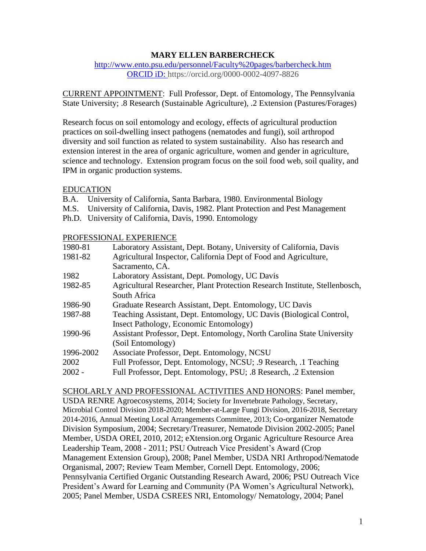# **MARY ELLEN BARBERCHECK**

# <http://www.ento.psu.edu/personnel/Faculty%20pages/barbercheck.htm> ORCID iD: https://orcid.org/0000-0002-4097-8826

CURRENT APPOINTMENT: Full Professor, Dept. of Entomology, The Pennsylvania State University; .8 Research (Sustainable Agriculture), .2 Extension (Pastures/Forages)

Research focus on soil entomology and ecology, effects of agricultural production practices on soil-dwelling insect pathogens (nematodes and fungi), soil arthropod diversity and soil function as related to system sustainability. Also has research and extension interest in the area of organic agriculture, women and gender in agriculture, science and technology. Extension program focus on the soil food web, soil quality, and IPM in organic production systems.

## EDUCATION

B.A. University of California, Santa Barbara, 1980. Environmental Biology

M.S. University of California, Davis, 1982. Plant Protection and Pest Management

Ph.D. University of California, Davis, 1990. Entomology

### PROFESSIONAL EXPERIENCE

| Laboratory Assistant, Dept. Botany, University of California, Davis         |
|-----------------------------------------------------------------------------|
| Agricultural Inspector, California Dept of Food and Agriculture,            |
| Sacramento, CA.                                                             |
| Laboratory Assistant, Dept. Pomology, UC Davis                              |
| Agricultural Researcher, Plant Protection Research Institute, Stellenbosch, |
| South Africa                                                                |
| Graduate Research Assistant, Dept. Entomology, UC Davis                     |
| Teaching Assistant, Dept. Entomology, UC Davis (Biological Control,         |
| Insect Pathology, Economic Entomology)                                      |
| Assistant Professor, Dept. Entomology, North Carolina State University      |
| (Soil Entomology)                                                           |
| Associate Professor, Dept. Entomology, NCSU                                 |
| Full Professor, Dept. Entomology, NCSU; .9 Research, .1 Teaching            |
| Full Professor, Dept. Entomology, PSU; .8 Research, .2 Extension            |
|                                                                             |

SCHOLARLY AND PROFESSIONAL ACTIVITIES AND HONORS: Panel member, USDA RENRE Agroecosystems, 2014; Society for Invertebrate Pathology, Secretary, Microbial Control Division 2018-2020; Member-at-Large Fungi Division, 2016-2018, Secretary 2014-2016, Annual Meeting Local Arrangements Committee, 2013; Co-organizer Nematode Division Symposium, 2004; Secretary/Treasurer, Nematode Division 2002-2005; Panel Member, USDA OREI, 2010, 2012; eXtension.org Organic Agriculture Resource Area Leadership Team, 2008 - 2011; PSU Outreach Vice President's Award (Crop Management Extension Group), 2008; Panel Member, USDA NRI Arthropod/Nematode Organismal, 2007; Review Team Member, Cornell Dept. Entomology, 2006; Pennsylvania Certified Organic Outstanding Research Award, 2006; PSU Outreach Vice President's Award for Learning and Community (PA Women's Agricultural Network), 2005; Panel Member, USDA CSREES NRI, Entomology/ Nematology, 2004; Panel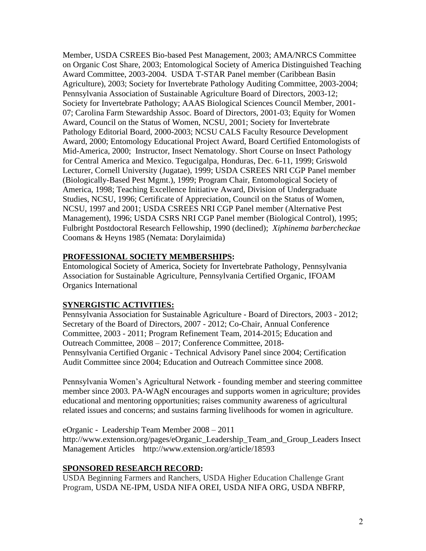Member, USDA CSREES Bio-based Pest Management, 2003; AMA/NRCS Committee on Organic Cost Share, 2003; Entomological Society of America Distinguished Teaching Award Committee, 2003-2004. USDA T-STAR Panel member (Caribbean Basin Agriculture), 2003; Society for Invertebrate Pathology Auditing Committee, 2003-2004; Pennsylvania Association of Sustainable Agriculture Board of Directors, 2003-12; Society for Invertebrate Pathology; AAAS Biological Sciences Council Member, 2001- 07; Carolina Farm Stewardship Assoc. Board of Directors, 2001-03; Equity for Women Award, Council on the Status of Women, NCSU, 2001; Society for Invertebrate Pathology Editorial Board, 2000-2003; NCSU CALS Faculty Resource Development Award, 2000; Entomology Educational Project Award, Board Certified Entomologists of Mid-America, 2000; Instructor, Insect Nematology. Short Course on Insect Pathology for Central America and Mexico. Tegucigalpa, Honduras, Dec. 6-11, 1999; Griswold Lecturer, Cornell University (Jugatae), 1999; USDA CSREES NRI CGP Panel member (Biologically-Based Pest Mgmt.), 1999; Program Chair, Entomological Society of America, 1998; Teaching Excellence Initiative Award, Division of Undergraduate Studies, NCSU, 1996; Certificate of Appreciation, Council on the Status of Women, NCSU, 1997 and 2001; USDA CSREES NRI CGP Panel member (Alternative Pest Management), 1996; USDA CSRS NRI CGP Panel member (Biological Control), 1995; Fulbright Postdoctoral Research Fellowship, 1990 (declined); *Xiphinema barbercheckae* Coomans & Heyns 1985 (Nemata: Dorylaimida)

# **PROFESSIONAL SOCIETY MEMBERSHIPS:**

Entomological Society of America, Society for Invertebrate Pathology, Pennsylvania Association for Sustainable Agriculture, Pennsylvania Certified Organic, IFOAM Organics International

# **SYNERGISTIC ACTIVITIES:**

Pennsylvania Association for Sustainable Agriculture - Board of Directors, 2003 - 2012; Secretary of the Board of Directors, 2007 - 2012; Co-Chair, Annual Conference Committee, 2003 - 2011; Program Refinement Team, 2014-2015; Education and Outreach Committee, 2008 – 2017; Conference Committee, 2018- Pennsylvania Certified Organic - Technical Advisory Panel since 2004; Certification Audit Committee since 2004; Education and Outreach Committee since 2008.

Pennsylvania Women's Agricultural Network - founding member and steering committee member since 2003. PA-WAgN encourages and supports women in agriculture; provides educational and mentoring opportunities; raises community awareness of agricultural related issues and concerns; and sustains farming livelihoods for women in agriculture.

eOrganic - Leadership Team Member 2008 – 2011

http://www.extension.org/pages/eOrganic\_Leadership\_Team\_and\_Group\_Leaders Insect Management Articles http://www.extension.org/article/18593

# **SPONSORED RESEARCH RECORD:**

USDA Beginning Farmers and Ranchers, USDA Higher Education Challenge Grant Program, USDA NE-IPM, USDA NIFA OREI, USDA NIFA ORG, USDA NBFRP,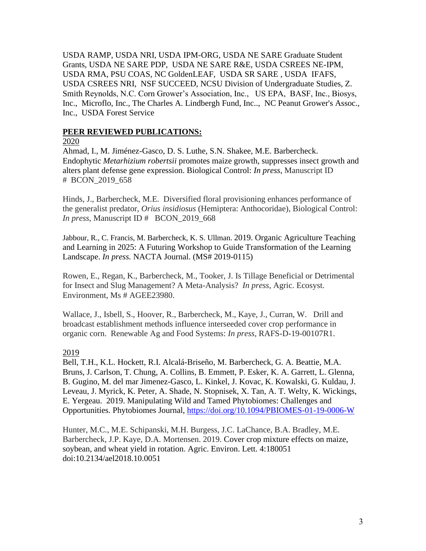USDA RAMP, USDA NRI, USDA IPM-ORG, USDA NE SARE Graduate Student Grants, USDA NE SARE PDP, USDA NE SARE R&E, USDA CSREES NE-IPM, USDA RMA, PSU COAS, NC GoldenLEAF, USDA SR SARE , USDA IFAFS, USDA CSREES NRI, NSF SUCCEED, NCSU Division of Undergraduate Studies, Z. Smith Reynolds, N.C. Corn Grower's Association, Inc., US EPA, BASF, Inc., Biosys, Inc., Microflo, Inc., The Charles A. Lindbergh Fund, Inc.., NC Peanut Grower's Assoc., Inc., USDA Forest Service

# **PEER REVIEWED PUBLICATIONS:**

2020

Ahmad, I., M. Jiménez-Gasco, D. S. Luthe, S.N. Shakee, M.E. Barbercheck. Endophytic *Metarhizium robertsii* promotes maize growth, suppresses insect growth and alters plant defense gene expression. Biological Control: *In press*, Manuscript ID # BCON\_2019\_658

Hinds, J., Barbercheck, M.E. Diversified floral provisioning enhances performance of the generalist predator, *Orius insidiosus* (Hemiptera: Anthocoridae), Biological Control: *In press*, Manuscript ID # BCON\_2019\_668

Jabbour, R., C. Francis, M. Barbercheck, K. S. Ullman. 2019. Organic Agriculture Teaching and Learning in 2025: A Futuring Workshop to Guide Transformation of the Learning Landscape. *In press.* NACTA Journal. (MS# 2019-0115)

Rowen, E., Regan, K., Barbercheck, M., Tooker, J. Is Tillage Beneficial or Detrimental for Insect and Slug Management? A Meta-Analysis? *In press*, Agric. Ecosyst. Environment, Ms # AGEE23980.

Wallace, J., Isbell, S., Hoover, R., Barbercheck, M., Kaye, J., Curran, W. Drill and broadcast establishment methods influence interseeded cover crop performance in organic corn. Renewable Ag and Food Systems: *In press*, RAFS-D-19-00107R1.

# 2019

Bell, T.H., K.L. Hockett, R.I. Alcalá-Briseño, M. Barbercheck, G. A. Beattie, M.A. Bruns, J. Carlson, T. Chung, A. Collins, B. Emmett, P. Esker, K. A. Garrett, L. Glenna, B. Gugino, M. del mar Jimenez-Gasco, L. Kinkel, J. Kovac, K. Kowalski, G. Kuldau, J. Leveau, J. Myrick, K. Peter, A. Shade, N. Stopnisek, X. Tan, A. T. Welty, K. Wickings, E. Yergeau. 2019. Manipulating Wild and Tamed Phytobiomes: Challenges and Opportunities. Phytobiomes Journal,<https://doi.org/10.1094/PBIOMES-01-19-0006-W>

Hunter, M.C., M.E. Schipanski, M.H. Burgess, J.C. LaChance, B.A. Bradley, M.E. Barbercheck, J.P. Kaye, D.A. Mortensen. 2019. Cover crop mixture effects on maize, soybean, and wheat yield in rotation. Agric. Environ. Lett. 4:180051 doi:10.2134/ael2018.10.0051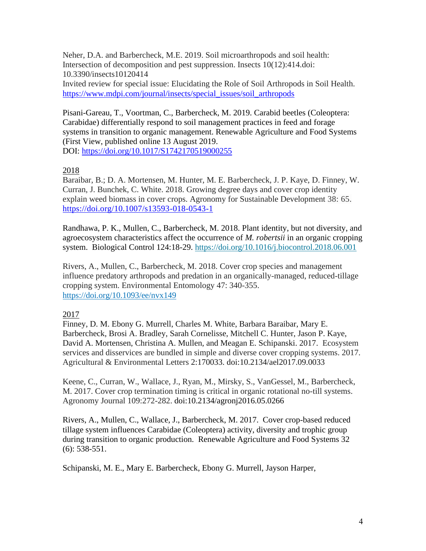Neher, D.A. and Barbercheck, M.E. 2019. Soil microarthropods and soil health: Intersection of decomposition and pest suppression. Insects 10(12):414.doi: 10.3390/insects10120414 Invited review for special issue: Elucidating the Role of Soil Arthropods in Soil Health. [https://www.mdpi.com/journal/insects/special\\_issues/soil\\_arthropods](https://www.mdpi.com/journal/insects/special_issues/soil_arthropods)

Pisani-Gareau, T., Voortman, C., Barbercheck, M. 2019. Carabid beetles (Coleoptera: Carabidae) differentially respond to soil management practices in feed and forage systems in transition to organic management. Renewable Agriculture and Food Systems (First View, published online 13 August 2019. DOI: <https://doi.org/10.1017/S1742170519000255>

# 2018

Baraibar, B.; D. A. Mortensen, M. Hunter, M. E. Barbercheck, J. P. Kaye, D. Finney, W. Curran, J. Bunchek, C. White. 2018. Growing degree days and cover crop identity explain weed biomass in cover crops. Agronomy for Sustainable Development 38: 65. <https://doi.org/10.1007/s13593-018-0543-1>

Randhawa, P. K., Mullen, C., Barbercheck, M. 2018. Plant identity, but not diversity, and agroecosystem characteristics affect the occurrence of *M. robertsii* in an organic cropping system. Biological Control 124:18-29.<https://doi.org/10.1016/j.biocontrol.2018.06.001>

Rivers, A., Mullen, C., Barbercheck, M. 2018. Cover crop species and management influence predatory arthropods and predation in an organically-managed, reduced-tillage cropping system. Environmental Entomology 47: 340-355. <https://doi.org/10.1093/ee/nvx149>

# 2017

Finney, D. M. Ebony G. Murrell, Charles M. White, Barbara Baraibar, Mary E. Barbercheck, Brosi A. Bradley, Sarah Cornelisse, Mitchell C. Hunter, Jason P. Kaye, David A. Mortensen, Christina A. Mullen, and Meagan E. Schipanski. 2017. Ecosystem services and disservices are bundled in simple and diverse cover cropping systems. 2017. Agricultural & Environmental Letters 2:170033. doi:10.2134/ael2017.09.0033

Keene, C., Curran, W., Wallace, J., Ryan, M., Mirsky, S., VanGessel, M., Barbercheck, M. 2017. Cover crop termination timing is critical in organic rotational no-till systems. Agronomy Journal 109:272-282. doi:10.2134/agronj2016.05.0266

Rivers, A., Mullen, C., Wallace, J., Barbercheck, M. 2017. Cover crop-based reduced tillage system influences Carabidae (Coleoptera) activity, diversity and trophic group during transition to organic production. Renewable Agriculture and Food Systems 32 (6): 538-551.

Schipanski, M. E., Mary E. Barbercheck, Ebony G. Murrell, Jayson Harper,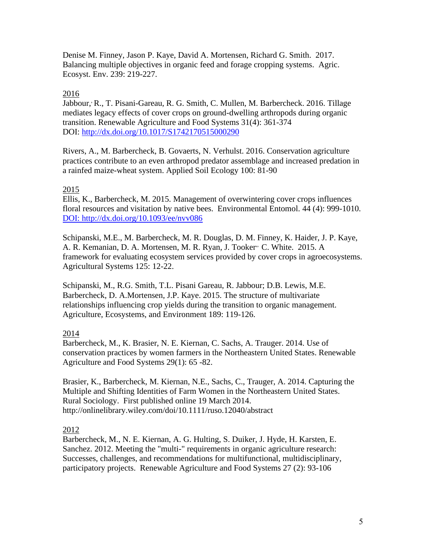Denise M. Finney, Jason P. Kaye, David A. Mortensen, Richard G. Smith. 2017. Balancing multiple objectives in organic feed and forage cropping systems. Agric. Ecosyst. Env. 239: 219-227.

# 2016

Jabbour, R., T. Pisani-Gareau, R. G. Smith, C. Mullen, M. Barbercheck. 2016. Tillage mediates legacy effects of cover crops on ground-dwelling arthropods during organic transition. Renewable Agriculture and Food Systems 31(4): 361-374 DOI: <http://dx.doi.org/10.1017/S1742170515000290>

Rivers, A., M. Barbercheck, B. Govaerts, N. Verhulst. 2016. Conservation agriculture practices contribute to an even arthropod predator assemblage and increased predation in a rainfed maize-wheat system. Applied Soil Ecology 100: 81-90

# 2015

Ellis, K., Barbercheck, M. 2015. Management of overwintering cover crops influences floral resources and visitation by native bees. Environmental Entomol. 44 (4): 999-1010. [DOI: http://dx.doi.org/10.1093/ee/nvv086](http://dx.doi.org/10.1093/ee/nvv086)

Schipanski, M.E., M. Barbercheck, M. R. Douglas, D. M. Finney, K. Haider, J. P. Kaye, A. R. Kemanian, D. A. Mortensen, M. R. Ryan, J. Tooker<sup>,,</sup> C. White. 2015. A framework for evaluating ecosystem services provided by cover crops in agroecosystems. Agricultural Systems 125: 12-22.

Schipanski, M., R.G. Smith, T.L. Pisani Gareau, R. Jabbour; D.B. Lewis, M.E. Barbercheck, D. A.Mortensen, J.P. Kaye. 2015. The structure of multivariate relationships influencing crop yields during the transition to organic management. Agriculture, Ecosystems, and Environment 189: 119-126.

# 2014

Barbercheck, M., K. Brasier, N. E. Kiernan, C. Sachs, A. Trauger. 2014. Use of conservation practices by women farmers in the Northeastern United States. Renewable Agriculture and Food Systems 29(1): 65 -82.

Brasier, K., Barbercheck, M. Kiernan, N.E., Sachs, C., Trauger, A. 2014. Capturing the Multiple and Shifting Identities of Farm Women in the Northeastern United States. Rural Sociology. First published online 19 March 2014. http://onlinelibrary.wiley.com/doi/10.1111/ruso.12040/abstract

# 2012

Barbercheck, M., N. E. Kiernan, A. G. Hulting, S. Duiker, J. Hyde, H. Karsten, E. Sanchez. 2012. Meeting the "multi-" requirements in organic agriculture research: Successes, challenges, and recommendations for multifunctional, multidisciplinary, participatory projects. Renewable Agriculture and Food Systems 27 (2): 93-106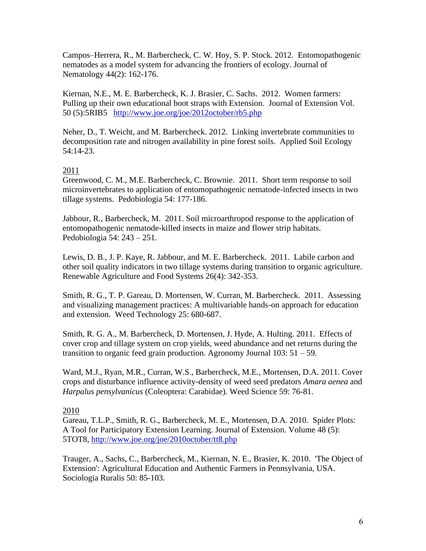Campos–Herrera, R., M. Barbercheck, C. W. Hoy, S. P. Stock. 2012. Entomopathogenic nematodes as a model system for advancing the frontiers of ecology. Journal of Nematology 44(2): 162-176.

Kiernan, N.E., M. E. Barbercheck, K. J. Brasier, C. Sachs. 2012. Women farmers: Pulling up their own educational boot straps with Extension. Journal of Extension Vol. 50 (5):5RIB5 <http://www.joe.org/joe/2012october/rb5.php>

Neher, D., T. Weicht, and M. Barbercheck. 2012. Linking invertebrate communities to decomposition rate and nitrogen availability in pine forest soils. Applied Soil Ecology 54:14-23.

# 2011

Greenwood, C. M., M.E. Barbercheck, C. Brownie. 2011. Short term response to soil microinvertebrates to application of entomopathogenic nematode-infected insects in two tillage systems. Pedobiologia 54: 177-186.

Jabbour, R., Barbercheck, M. 2011. Soil microarthropod response to the application of entomopathogenic nematode-killed insects in maize and flower strip habitats. Pedobiologia 54: 243 – 251.

Lewis, D. B., J. P. Kaye, R. Jabbour, and M. E. Barbercheck. 2011. Labile carbon and other soil quality indicators in two tillage systems during transition to organic agriculture. Renewable Agriculture and Food Systems 26(4): 342-353.

Smith, R. G., T. P. Gareau, D. Mortensen, W. Curran, M. Barbercheck. 2011. Assessing and visualizing management practices: A multivariable hands-on approach for education and extension. Weed Technology 25: 680-687.

Smith, R. G. A., M. Barbercheck, D. Mortensen, J. Hyde, A. Hulting. 2011. Effects of cover crop and tillage system on crop yields, weed abundance and net returns during the transition to organic feed grain production. Agronomy Journal  $103: 51 - 59$ .

Ward, M.J., Ryan, M.R., Curran, W.S., Barbercheck, M.E., Mortensen, D.A. 2011. Cover crops and disturbance influence activity-density of weed seed predators *Amara aenea* and *Harpalus pensylvanicus* (Coleoptera: Carabidae). Weed Science 59: 76-81.

### 2010

Gareau, T.L.P., Smith, R. G., Barbercheck, M. E., Mortensen, D.A. 2010. Spider Plots: A Tool for Participatory Extension Learning. Journal of Extension. Volume 48 (5): 5TOT8,<http://www.joe.org/joe/2010october/tt8.php>

Trauger, A., Sachs, C., Barbercheck, M., Kiernan, N. E., Brasier, K. 2010. 'The Object of Extension': Agricultural Education and Authentic Farmers in Pennsylvania, USA. Sociologia Ruralis 50: 85-103.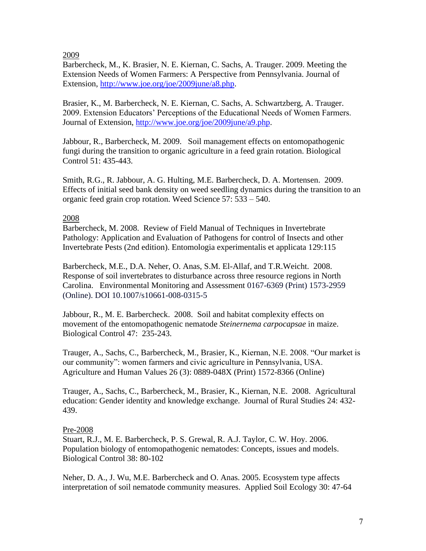## 2009

Barbercheck, M., K. Brasier, N. E. Kiernan, C. Sachs, A. Trauger. 2009. Meeting the Extension Needs of Women Farmers: A Perspective from Pennsylvania. Journal of Extension, [http://www.joe.org/joe/2009june/a8.php.](http://www.joe.org/joe/2009june/a8.php)

Brasier, K., M. Barbercheck, N. E. Kiernan, C. Sachs, A. Schwartzberg, A. Trauger. 2009. Extension Educators' Perceptions of the Educational Needs of Women Farmers. Journal of Extension, [http://www.joe.org/joe/2009june/a9.php.](http://www.joe.org/joe/2009june/a9.php)

Jabbour, R., Barbercheck, M. 2009. Soil management effects on entomopathogenic fungi during the transition to organic agriculture in a feed grain rotation. Biological Control 51: 435-443.

Smith, R.G., R. Jabbour, A. G. Hulting, M.E. Barbercheck, D. A. Mortensen. 2009. Effects of initial seed bank density on weed seedling dynamics during the transition to an organic feed grain crop rotation. Weed Science 57: 533 – 540.

## 2008

Barbercheck, M. 2008. Review of Field Manual of Techniques in Invertebrate Pathology: Application and Evaluation of Pathogens for control of Insects and other Invertebrate Pests (2nd edition). Entomologia experimentalis et applicata 129:115

Barbercheck, M.E., D.A. Neher, O. Anas, S.M. El-Allaf, and T.R.Weicht. 2008. Response of soil invertebrates to disturbance across three resource regions in North Carolina. Environmental Monitoring and Assessment 0167-6369 (Print) 1573-2959 (Online). DOI 10.1007/s10661-008-0315-5

Jabbour, R., M. E. Barbercheck. 2008. Soil and habitat complexity effects on movement of the entomopathogenic nematode *Steinernema carpocapsae* in maize. Biological Control 47: 235-243.

Trauger, A., Sachs, C., Barbercheck, M., Brasier, K., Kiernan, N.E. 2008. "Our market is our community": women farmers and civic agriculture in Pennsylvania, USA. Agriculture and Human Values 26 (3): 0889-048X (Print) 1572-8366 (Online)

Trauger, A., Sachs, C., Barbercheck, M., Brasier, K., Kiernan, N.E. 2008. Agricultural education: Gender identity and knowledge exchange. Journal of Rural Studies 24: 432- 439.

# Pre-2008

Stuart, R.J., M. E. Barbercheck, P. S. Grewal, R. A.J. Taylor, C. W. Hoy. 2006. Population biology of entomopathogenic nematodes: Concepts, issues and models. Biological Control 38: 80-102

Neher, D. A., J. Wu, M.E. Barbercheck and O. Anas. 2005. Ecosystem type affects interpretation of soil nematode community measures. Applied Soil Ecology 30: 47-64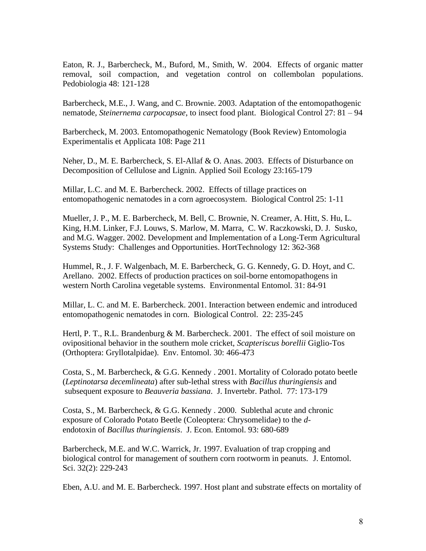Eaton, R. J., Barbercheck, M., Buford, M., Smith, W. 2004. Effects of organic matter removal, soil compaction, and vegetation control on collembolan populations. Pedobiologia 48: 121-128

Barbercheck, M.E., J. Wang, and C. Brownie. 2003. Adaptation of the entomopathogenic nematode, *Steinernema carpocapsae*, to insect food plant. Biological Control 27: 81 – 94

Barbercheck, M. 2003. Entomopathogenic Nematology (Book Review) Entomologia Experimentalis et Applicata 108: Page 211

Neher, D., M. E. Barbercheck, S. El-Allaf & O. Anas. 2003. Effects of Disturbance on Decomposition of Cellulose and Lignin. Applied Soil Ecology 23:165-179

Millar, L.C. and M. E. Barbercheck. 2002. Effects of tillage practices on entomopathogenic nematodes in a corn agroecosystem. Biological Control 25: 1-11

Mueller, J. P., M. E. Barbercheck, M. Bell, C. Brownie, N. Creamer, A. Hitt, S. Hu, L. King, H.M. Linker, F.J. Louws, S. Marlow, M. Marra, C. W. Raczkowski, D. J. Susko, and M.G. Wagger. 2002. Development and Implementation of a Long-Term Agricultural Systems Study: Challenges and Opportunities. HortTechnology 12: 362-368

Hummel, R., J. F. Walgenbach, M. E. Barbercheck, G. G. Kennedy, G. D. Hoyt, and C. Arellano. 2002. Effects of production practices on soil-borne entomopathogens in western North Carolina vegetable systems. Environmental Entomol. 31: 84-91

Millar, L. C. and M. E. Barbercheck. 2001. Interaction between endemic and introduced entomopathogenic nematodes in corn. Biological Control. 22: 235-245

Hertl, P. T., R.L. Brandenburg & M. Barbercheck. 2001. The effect of soil moisture on ovipositional behavior in the southern mole cricket, *Scapteriscus borellii* Giglio-Tos (Orthoptera: Gryllotalpidae). Env. Entomol. 30: 466-473

Costa, S., M. Barbercheck, & G.G. Kennedy . 2001. Mortality of Colorado potato beetle (*Leptinotarsa decemlineata*) after sub-lethal stress with *Bacillus thuringiensis* and subsequent exposure to *Beauveria bassiana*. J. Invertebr. Pathol. 77: 173-179

Costa, S., M. Barbercheck, & G.G. Kennedy . 2000. Sublethal acute and chronic exposure of Colorado Potato Beetle (Coleoptera: Chrysomelidae) to the *d*endotoxin of *Bacillus thuringiensis*. J. Econ. Entomol. 93: 680-689

Barbercheck, M.E. and W.C. Warrick, Jr. 1997. Evaluation of trap cropping and biological control for management of southern corn rootworm in peanuts. J. Entomol. Sci. 32(2): 229-243

Eben, A.U. and M. E. Barbercheck. 1997. Host plant and substrate effects on mortality of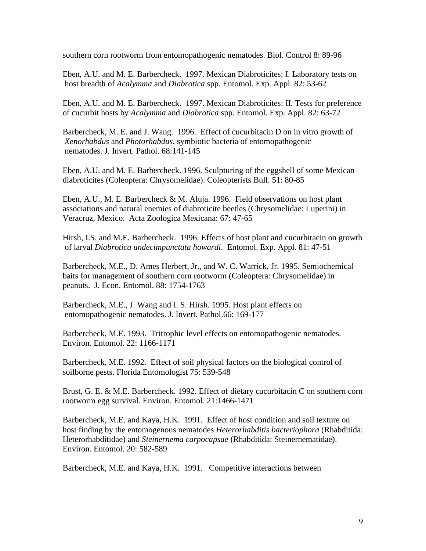southern corn rootworm from entomopathogenic nematodes. Biol. Control 8: 89-96

Eben, A.U. and M. E. Barbercheck. 1997. Mexican Diabroticites: I. Laboratory tests on host breadth of *Acalymma* and *Diabrotica* spp. Entomol. Exp. Appl. 82: 53-62

Eben, A.U. and M. E. Barbercheck. 1997. Mexican Diabroticites: II. Tests for preference of cucurbit hosts by *Acalymma* and *Diabrotica* spp. Entomol. Exp. Appl. 82: 63-72

Barbercheck, M. E. and J. Wang. 1996. Effect of cucurbitacin D on in vitro growth of *Xenorhabdus* and *Photorhabdus*, symbiotic bacteria of entomopathogenic nematodes. J. Invert. Pathol. 68:141-145

Eben, A.U. and M. E. Barbercheck. 1996. Sculpturing of the eggshell of some Mexican diabroticites (Coleoptera: Chrysomelidae). Coleopterists Bull. 51: 80-85

Eben, A.U., M. E. Barbercheck & M. Aluja. 1996. Field observations on host plant associations and natural enemies of diabroticite beetles (Chrysomelidae: Luperini) in Veracruz, Mexico. Acta Zoologica Mexicana: 67: 47-65

Hirsh, I.S. and M.E. Barbercheck. 1996. Effects of host plant and cucurbitacin on growth of larval *Diabrotica undecimpunctata howardi*. Entomol. Exp. Appl. 81: 47-51

Barbercheck, M.E., D. Ames Herbert, Jr., and W. C. Warrick, Jr. 1995. Semiochemical baits for management of southern corn rootworm (Coleoptera: Chrysomelidae) in peanuts. J. Econ. Entomol. 88: 1754-1763

Barbercheck, M.E., J. Wang and I. S. Hirsh. 1995. Host plant effects on entomopathogenic nematodes. J. Invert. Pathol.66: 169-177

Barbercheck, M.E. 1993. Tritrophic level effects on entomopathogenic nematodes. Environ. Entomol. 22: 1166-1171

Barbercheck, M.E. 1992. Effect of soil physical factors on the biological control of soilborne pests. Florida Entomologist 75: 539-548

Brust, G. E. & M.E. Barbercheck. 1992. Effect of dietary cucurbitacin C on southern corn rootworm egg survival. Environ. Entomol. 21:1466-1471

Barbercheck, M.E. and Kaya, H.K. 1991. Effect of host condition and soil texture on host finding by the entomogenous nematodes *Heterorhabditis bacteriophora* (Rhabditida: Heterorhabditidae) and *Steinernema carpocapsae* (Rhabditida: Steinernematidae). Environ. Entomol. 20: 582-589

Barbercheck, M.E. and Kaya, H.K. 1991. Competitive interactions between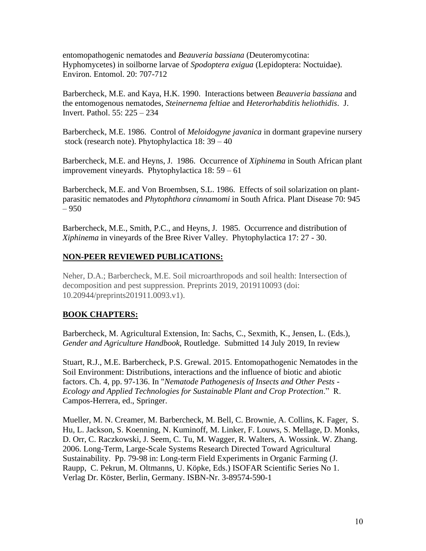entomopathogenic nematodes and *Beauveria bassiana* (Deuteromycotina: Hyphomycetes) in soilborne larvae of *Spodoptera exigua* (Lepidoptera: Noctuidae). Environ. Entomol. 20: 707-712

Barbercheck, M.E. and Kaya, H.K. 1990. Interactions between *Beauveria bassiana* and the entomogenous nematodes, *Steinernema feltiae* and *Heterorhabditis heliothidis*. J. Invert. Pathol. 55: 225 – 234

Barbercheck, M.E. 1986. Control of *Meloidogyne javanica* in dormant grapevine nursery stock (research note). Phytophylactica 18: 39 – 40

Barbercheck, M.E. and Heyns, J. 1986. Occurrence of *Xiphinema* in South African plant improvement vineyards. Phytophylactica 18: 59 – 61

Barbercheck, M.E. and Von Broembsen, S.L. 1986. Effects of soil solarization on plantparasitic nematodes and *Phytophthora cinnamomi* in South Africa. Plant Disease 70: 945 – 950

Barbercheck, M.E., Smith, P.C., and Heyns, J. 1985. Occurrence and distribution of *Xiphinema* in vineyards of the Bree River Valley. Phytophylactica 17: 27 - 30.

# **NON-PEER REVIEWED PUBLICATIONS:**

Neher, D.A.; Barbercheck, M.E. Soil microarthropods and soil health: Intersection of decomposition and pest suppression. Preprints 2019, 2019110093 (doi: 10.20944/preprints201911.0093.v1).

# **BOOK CHAPTERS:**

Barbercheck, M. Agricultural Extension, In: Sachs, C., Sexmith, K., Jensen, L. (Eds.), *Gender and Agriculture Handbook*, Routledge. Submitted 14 July 2019, In review

Stuart, R.J., M.E. Barbercheck, P.S. Grewal. 2015. Entomopathogenic Nematodes in the Soil Environment: Distributions, interactions and the influence of biotic and abiotic factors. Ch. 4, pp. 97-136. In "*Nematode Pathogenesis of Insects and Other Pests - Ecology and Applied Technologies for Sustainable Plant and Crop Protection*." R. Campos-Herrera, ed., Springer.

Mueller, M. N. Creamer, M. Barbercheck, M. Bell, C. Brownie, A. Collins, K. Fager, S. Hu, L. Jackson, S. Koenning, N. Kuminoff, M. Linker, F. Louws, S. Mellage, D. Monks, D. Orr, C. Raczkowski, J. Seem, C. Tu, M. Wagger, R. Walters, A. Wossink. W. Zhang. 2006. Long-Term, Large-Scale Systems Research Directed Toward Agricultural Sustainability. Pp. 79-98 in: Long-term Field Experiments in Organic Farming (J. Raupp, C. Pekrun, M. Oltmanns, U. Köpke, Eds.) ISOFAR Scientific Series No 1. Verlag Dr. Köster, Berlin, Germany. ISBN-Nr. 3-89574-590-1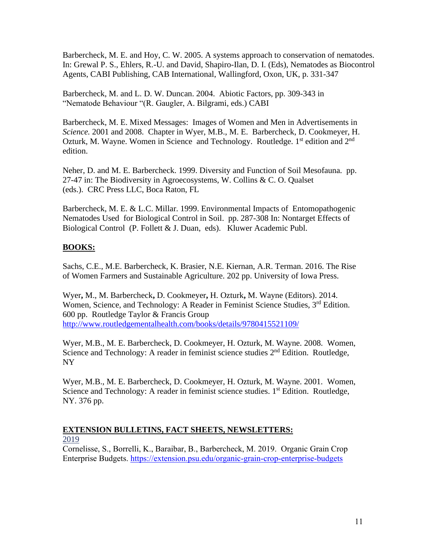Barbercheck, M. E. and Hoy, C. W. 2005. A systems approach to conservation of nematodes. In: Grewal P. S., Ehlers, R.-U. and David, Shapiro-Ilan, D. I. (Eds), Nematodes as Biocontrol Agents, CABI Publishing, CAB International, Wallingford, Oxon, UK, p. 331-347

Barbercheck, M. and L. D. W. Duncan. 2004. Abiotic Factors, pp. 309-343 in "Nematode Behaviour "(R. Gaugler, A. Bilgrami, eds.) CABI

Barbercheck, M. E. Mixed Messages: Images of Women and Men in Advertisements in *Science.* 2001 and 2008. Chapter in Wyer, M.B., M. E. Barbercheck, D. Cookmeyer, H. Ozturk, M. Wayne. Women in Science and Technology. Routledge. 1<sup>st</sup> edition and 2<sup>nd</sup> edition.

Neher, D. and M. E. Barbercheck. 1999. Diversity and Function of Soil Mesofauna. pp. 27-47 in: The Biodiversity in Agroecosystems, W. Collins & C. O. Qualset (eds.). CRC Press LLC, Boca Raton, FL

Barbercheck, M. E. & L.C. Millar. 1999. Environmental Impacts of Entomopathogenic Nematodes Used for Biological Control in Soil. pp. 287-308 In: Nontarget Effects of Biological Control (P. Follett & J. Duan, eds). Kluwer Academic Publ.

# **BOOKS:**

Sachs, C.E., M.E. Barbercheck, K. Brasier, N.E. Kiernan, A.R. Terman. 2016. The Rise of Women Farmers and Sustainable Agriculture. 202 pp. University of Iowa Press.

Wyer**,** M., M. Barbercheck**,** D. Cookmeyer**,** H. Ozturk**,** M. Wayne (Editors). 2014. Women, Science, and Technology: A Reader in Feminist Science Studies, 3<sup>rd</sup> Edition. 600 pp. Routledge Taylor & Francis Grou[p](http://www.routledge.com/books/details/9780415521109/)  [http://www.routledgementalhealth.com/books/details/9780415521109/](http://www.routledge.com/books/details/9780415521109/)

Wyer, M.B., M. E. Barbercheck, D. Cookmeyer, H. Ozturk, M. Wayne. 2008. Women, Science and Technology: A reader in feminist science studies  $2<sup>nd</sup>$  Edition. Routledge, NY

Wyer, M.B., M. E. Barbercheck, D. Cookmeyer, H. Ozturk, M. Wayne. 2001. Women, Science and Technology: A reader in feminist science studies. 1<sup>st</sup> Edition. Routledge, NY. 376 pp.

## **EXTENSION BULLETINS, FACT SHEETS, NEWSLETTERS:** 2019

Cornelisse, S., Borrelli, K., Baraibar, B., Barbercheck, M. 2019. Organic Grain Crop Enterprise Budgets.<https://extension.psu.edu/organic-grain-crop-enterprise-budgets>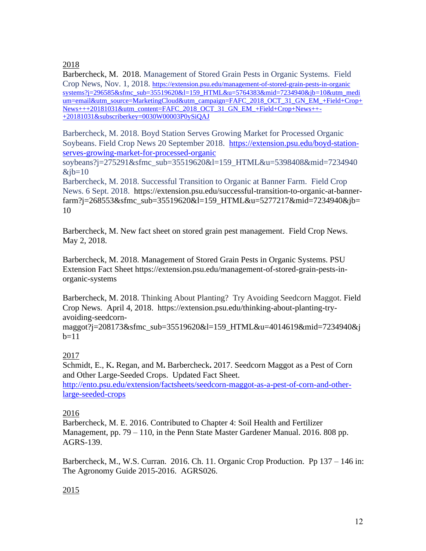# 2018

Barbercheck, M. 2018. Management of Stored Grain Pests in Organic Systems. Field Crop News, Nov. 1, 2018. [https://extension.psu.edu/management-of-stored-grain-pests-in-organic](https://extension.psu.edu/management-of-stored-grain-pests-in-organic%20systems?j=296585&sfmc_sub=35519620&l=159_HTML&u=5764383&mid=7234940&jb=10&utm_medium=email&utm_source=MarketingCloud&utm_campaign=FAFC_2018_OCT_31_GN_EM_+Field+Crop+News+++20181031&utm_content=FAFC_2018_OCT_31_GN_EM_+Field+Crop+News++-+20181031&subscriberkey=0030W00003P0ySiQAJ)  [systems?j=296585&sfmc\\_sub=35519620&l=159\\_HTML&u=5764383&mid=7234940&jb=10&utm\\_medi](https://extension.psu.edu/management-of-stored-grain-pests-in-organic%20systems?j=296585&sfmc_sub=35519620&l=159_HTML&u=5764383&mid=7234940&jb=10&utm_medium=email&utm_source=MarketingCloud&utm_campaign=FAFC_2018_OCT_31_GN_EM_+Field+Crop+News+++20181031&utm_content=FAFC_2018_OCT_31_GN_EM_+Field+Crop+News++-+20181031&subscriberkey=0030W00003P0ySiQAJ) [um=email&utm\\_source=MarketingCloud&utm\\_campaign=FAFC\\_2018\\_OCT\\_31\\_GN\\_EM\\_+Field+Crop+](https://extension.psu.edu/management-of-stored-grain-pests-in-organic%20systems?j=296585&sfmc_sub=35519620&l=159_HTML&u=5764383&mid=7234940&jb=10&utm_medium=email&utm_source=MarketingCloud&utm_campaign=FAFC_2018_OCT_31_GN_EM_+Field+Crop+News+++20181031&utm_content=FAFC_2018_OCT_31_GN_EM_+Field+Crop+News++-+20181031&subscriberkey=0030W00003P0ySiQAJ) [News+++20181031&utm\\_content=FAFC\\_2018\\_OCT\\_31\\_GN\\_EM\\_+Field+Crop+News++-](https://extension.psu.edu/management-of-stored-grain-pests-in-organic%20systems?j=296585&sfmc_sub=35519620&l=159_HTML&u=5764383&mid=7234940&jb=10&utm_medium=email&utm_source=MarketingCloud&utm_campaign=FAFC_2018_OCT_31_GN_EM_+Field+Crop+News+++20181031&utm_content=FAFC_2018_OCT_31_GN_EM_+Field+Crop+News++-+20181031&subscriberkey=0030W00003P0ySiQAJ) [+20181031&subscriberkey=0030W00003P0ySiQAJ](https://extension.psu.edu/management-of-stored-grain-pests-in-organic%20systems?j=296585&sfmc_sub=35519620&l=159_HTML&u=5764383&mid=7234940&jb=10&utm_medium=email&utm_source=MarketingCloud&utm_campaign=FAFC_2018_OCT_31_GN_EM_+Field+Crop+News+++20181031&utm_content=FAFC_2018_OCT_31_GN_EM_+Field+Crop+News++-+20181031&subscriberkey=0030W00003P0ySiQAJ)

Barbercheck, M. 2018. Boyd Station Serves Growing Market for Processed Organic Soybeans. Field Crop News 20 September 2018. [https://extension.psu.edu/boyd-station](https://extension.psu.edu/boyd-station-serves-growing-market-for-processed-organic)[serves-growing-market-for-processed-organic](https://extension.psu.edu/boyd-station-serves-growing-market-for-processed-organic)

soybeans?j=275291&sfmc\_sub=35519620&l=159\_HTML&u=5398408&mid=7234940  $&$ j $b=10$ 

Barbercheck, M. 2018. Successful Transition to Organic at Banner Farm. Field Crop News. 6 Sept. 2018. https://extension.psu.edu/successful-transition-to-organic-at-bannerfarm?j=268553&sfmc\_sub=35519620&l=159\_HTML&u=5277217&mid=7234940&jb= 10

Barbercheck, M. New fact sheet on stored grain pest management. Field Crop News. May 2, 2018.

Barbercheck, M. 2018. Management of Stored Grain Pests in Organic Systems. PSU Extension Fact Sheet https://extension.psu.edu/management-of-stored-grain-pests-inorganic-systems

Barbercheck, M. 2018. Thinking About Planting? Try Avoiding Seedcorn Maggot. Field Crop News. April 4, 2018. https://extension.psu.edu/thinking-about-planting-tryavoiding-seedcorn-

maggot?j=208173&sfmc\_sub=35519620&l=159\_HTML&u=4014619&mid=7234940&j  $b=11$ 

# 2017

Schmidt, E., K**.** Regan, and M**.** Barbercheck**.** 2017. Seedcorn Maggot as a Pest of Corn and Other Large-Seeded Crops. Updated Fact Sheet. [http://ento.psu.edu/extension/factsheets/seedcorn-maggot-as-a-pest-of-corn-and-other](http://ento.psu.edu/extension/factsheets/seedcorn-maggot-as-a-pest-of-corn-and-other-large-seeded-crops)[large-seeded-crops](http://ento.psu.edu/extension/factsheets/seedcorn-maggot-as-a-pest-of-corn-and-other-large-seeded-crops)

# 2016

Barbercheck, M. E. 2016. Contributed to Chapter 4: Soil Health and Fertilizer Management, pp. 79 – 110, in the Penn State Master Gardener Manual. 2016. 808 pp. AGRS-139.

Barbercheck, M., W.S. Curran. 2016. Ch. 11. Organic Crop Production. Pp 137 – 146 in: The Agronomy Guide 2015-2016. AGRS026.

# 2015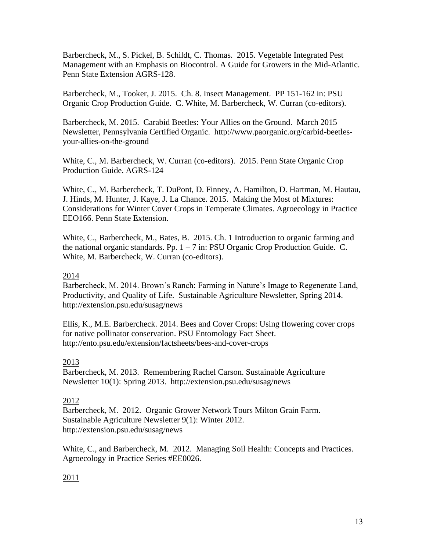Barbercheck, M., S. Pickel, B. Schildt, C. Thomas. 2015. Vegetable Integrated Pest Management with an Emphasis on Biocontrol. A Guide for Growers in the Mid-Atlantic. Penn State Extension AGRS-128.

Barbercheck, M., Tooker, J. 2015. Ch. 8. Insect Management. PP 151-162 in: PSU Organic Crop Production Guide. C. White, M. Barbercheck, W. Curran (co-editors).

Barbercheck, M. 2015. Carabid Beetles: Your Allies on the Ground. March 2015 Newsletter, Pennsylvania Certified Organic. http://www.paorganic.org/carbid-beetlesyour-allies-on-the-ground

White, C., M. Barbercheck, W. Curran (co-editors). 2015. Penn State Organic Crop Production Guide. AGRS-124

White, C., M. Barbercheck, T. DuPont, D. Finney, A. Hamilton, D. Hartman, M. Hautau, J. Hinds, M. Hunter, J. Kaye, J. La Chance. 2015. Making the Most of Mixtures: Considerations for Winter Cover Crops in Temperate Climates. Agroecology in Practice EEO166. Penn State Extension.

White, C., Barbercheck, M., Bates, B. 2015. Ch. 1 Introduction to organic farming and the national organic standards. Pp.  $1 - 7$  in: PSU Organic Crop Production Guide. C. White, M. Barbercheck, W. Curran (co-editors).

# 2014

Barbercheck, M. 2014. Brown's Ranch: Farming in Nature's Image to Regenerate Land, Productivity, and Quality of Life. Sustainable Agriculture Newsletter, Spring 2014. http://extension.psu.edu/susag/news

Ellis, K., M.E. Barbercheck. 2014. Bees and Cover Crops: Using flowering cover crops for native pollinator conservation. PSU Entomology Fact Sheet. http://ento.psu.edu/extension/factsheets/bees-and-cover-crops

### 2013

Barbercheck, M. 2013. Remembering Rachel Carson. Sustainable Agriculture Newsletter 10(1): Spring 2013. http://extension.psu.edu/susag/news

### 2012

Barbercheck, M. 2012. Organic Grower Network Tours Milton Grain Farm. Sustainable Agriculture Newsletter 9(1): Winter 2012. http://extension.psu.edu/susag/news

White, C., and Barbercheck, M. 2012. Managing Soil Health: Concepts and Practices. Agroecology in Practice Series #EE0026.

# 2011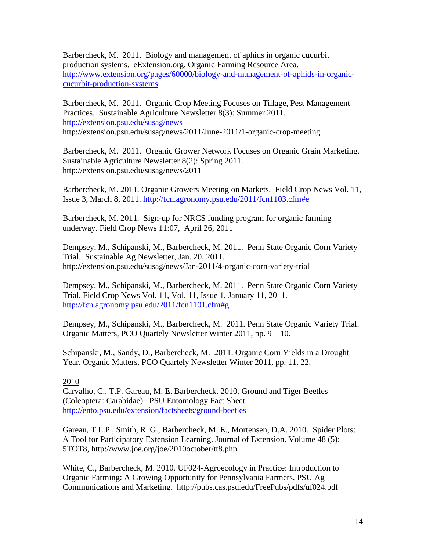Barbercheck, M. 2011. Biology and management of aphids in organic cucurbit production systems. eExtension.org, Organic Farming Resource Area. [http://www.extension.org/pages/60000/biology-and-management-of-aphids-in-organic](http://www.extension.org/pages/60000/biology-and-management-of-aphids-in-organic-cucurbit-production-systems)[cucurbit-production-systems](http://www.extension.org/pages/60000/biology-and-management-of-aphids-in-organic-cucurbit-production-systems)

Barbercheck, M. 2011. Organic Crop Meeting Focuses on Tillage, Pest Management Practices. Sustainable Agriculture Newsletter 8(3): Summer 2011. <http://extension.psu.edu/susag/news> http://extension.psu.edu/susag/news/2011/June-2011/1-organic-crop-meeting

Barbercheck, M. 2011. Organic Grower Network Focuses on Organic Grain Marketing. Sustainable Agriculture Newsletter 8(2): Spring 2011. http://extension.psu.edu/susag/news/2011

Barbercheck, M. 2011. [Organic Growers Meeting on Markets.](http://fcn.agronomy.psu.edu/2011/fcn1103.cfm#e) Field Crop News Vol. 11, Issue 3, March 8, 2011.<http://fcn.agronomy.psu.edu/2011/fcn1103.cfm#e>

Barbercheck, M. 2011. Sign-up for NRCS funding program for organic farming underway. Field Crop News 11:07, April 26, 2011

Dempsey, M., Schipanski, M., Barbercheck, M. 2011. Penn State Organic Corn Variety Trial. Sustainable Ag Newsletter, Jan. 20, 2011. http://extension.psu.edu/susag/news/Jan-2011/4-organic-corn-variety-trial

Dempsey, M., Schipanski, M., Barbercheck, M. 2011. Penn State Organic Corn Variety Trial. Field Crop News Vol. 11, Vol. 11, Issue 1, January 11, 2011. <http://fcn.agronomy.psu.edu/2011/fcn1101.cfm#g>

Dempsey, M., Schipanski, M., Barbercheck, M. 2011. Penn State Organic Variety Trial. Organic Matters, PCO Quartely Newsletter Winter 2011, pp. 9 – 10.

Schipanski, M., Sandy, D., Barbercheck, M. 2011. Organic Corn Yields in a Drought Year. Organic Matters, PCO Quartely Newsletter Winter 2011, pp. 11, 22.

### 2010

Carvalho, C., T.P. Gareau, M. E. Barbercheck. 2010. Ground and Tiger Beetles (Coleoptera: Carabidae). PSU Entomology Fact Sheet. <http://ento.psu.edu/extension/factsheets/ground-beetles>

Gareau, T.L.P., Smith, R. G., Barbercheck, M. E., Mortensen, D.A. 2010. Spider Plots: A Tool for Participatory Extension Learning. Journal of Extension. Volume 48 (5): 5TOT8, http://www.joe.org/joe/2010october/tt8.php

White, C., Barbercheck, M. 2010. UF024-Agroecology in Practice: Introduction to Organic Farming: A Growing Opportunity for Pennsylvania Farmers. PSU Ag Communications and Marketing. http://pubs.cas.psu.edu/FreePubs/pdfs/uf024.pdf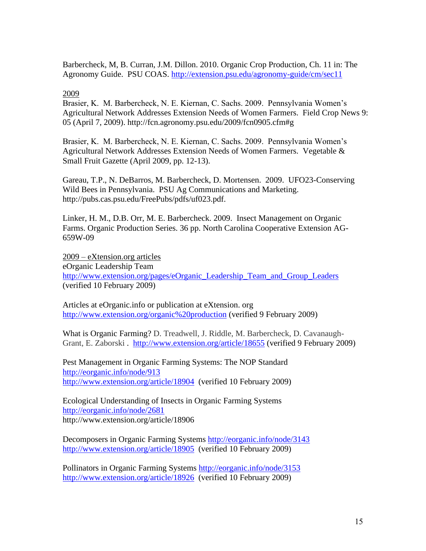Barbercheck, M, B. Curran, J.M. Dillon. 2010. Organic Crop Production, Ch. 11 in: The Agronomy Guide. PSU COAS.<http://extension.psu.edu/agronomy-guide/cm/sec11>

## 2009

Brasier, K. M. Barbercheck, N. E. Kiernan, C. Sachs. 2009. Pennsylvania Women's Agricultural Network Addresses Extension Needs of Women Farmers. Field Crop News 9: 05 (April 7, 2009). http://fcn.agronomy.psu.edu/2009/fcn0905.cfm#g

Brasier, K. M. Barbercheck, N. E. Kiernan, C. Sachs. 2009. Pennsylvania Women's Agricultural Network Addresses Extension Needs of Women Farmers. Vegetable & Small Fruit Gazette (April 2009, pp. 12-13).

Gareau, T.P., N. DeBarros, M. Barbercheck, D. Mortensen. 2009. UFO23-Conserving Wild Bees in Pennsylvania. PSU Ag Communications and Marketing. http://pubs.cas.psu.edu/FreePubs/pdfs/uf023.pdf.

Linker, H. M., D.B. Orr, M. E. Barbercheck. 2009. Insect Management on Organic Farms. Organic Production Series. 36 pp. North Carolina Cooperative Extension AG-659W-09

2009 – eXtension.org articles eOrganic Leadership Team [http://www.extension.org/pages/eOrganic\\_Leadership\\_Team\\_and\\_Group\\_Leaders](http://www.extension.org/pages/eOrganic_Leadership_Team_and_Group_Leaders) (verified 10 February 2009)

Articles at eOrganic.info or publication at eXtension. org <http://www.extension.org/organic%20production> (verified 9 February 2009)

What is Organic Farming? D. Treadwell, J. Riddle, M. Barbercheck, D. CavanaughGrant, E. Zaborski . <http://www.extension.org/article/18655> (verified 9 February 2009)

Pest Management in Organic Farming Systems: The NOP Standard <http://eorganic.info/node/913> <http://www.extension.org/article/18904>(verified 10 February 2009)

Ecological Understanding of Insects in Organic Farming Systems <http://eorganic.info/node/2681> http://www.extension.org/article/18906

Decomposers in Organic Farming Systems<http://eorganic.info/node/3143> <http://www.extension.org/article/18905>(verified 10 February 2009)

Pollinators in Organic Farming Systems<http://eorganic.info/node/3153> <http://www.extension.org/article/18926>(verified 10 February 2009)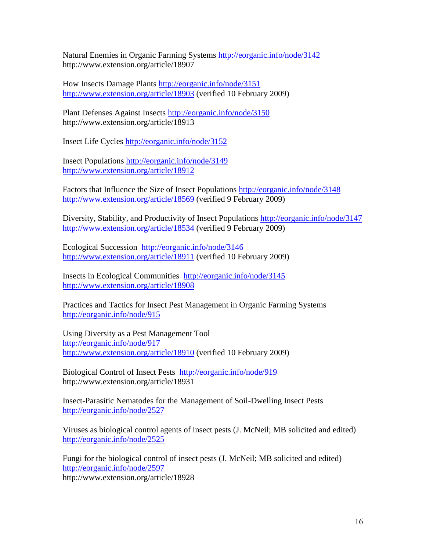Natural Enemies in Organic Farming Systems<http://eorganic.info/node/3142> http://www.extension.org/article/18907

How Insects Damage Plants<http://eorganic.info/node/3151> <http://www.extension.org/article/18903> (verified 10 February 2009)

Plant Defenses Against Insects<http://eorganic.info/node/3150> http://www.extension.org/article/18913

Insect Life Cycles<http://eorganic.info/node/3152>

Insect Populations<http://eorganic.info/node/3149> <http://www.extension.org/article/18912>

Factors that Influence the Size of Insect Populations<http://eorganic.info/node/3148> <http://www.extension.org/article/18569> (verified 9 February 2009)

Diversity, Stability, and Productivity of Insect Populations<http://eorganic.info/node/3147> <http://www.extension.org/article/18534> (verified 9 February 2009)

Ecological Succession <http://eorganic.info/node/3146> <http://www.extension.org/article/18911> (verified 10 February 2009)

Insects in Ecological Communities <http://eorganic.info/node/3145> <http://www.extension.org/article/18908>

Practices and Tactics for Insect Pest Management in Organic Farming Systems <http://eorganic.info/node/915>

Using Diversity as a Pest Management Tool <http://eorganic.info/node/917> <http://www.extension.org/article/18910> (verified 10 February 2009)

Biological Control of Insect Pests <http://eorganic.info/node/919> http://www.extension.org/article/18931

Insect-Parasitic Nematodes for the Management of Soil-Dwelling Insect Pests <http://eorganic.info/node/2527>

Viruses as biological control agents of insect pests (J. McNeil; MB solicited and edited) <http://eorganic.info/node/2525>

Fungi for the biological control of insect pests (J. McNeil; MB solicited and edited) <http://eorganic.info/node/2597> http://www.extension.org/article/18928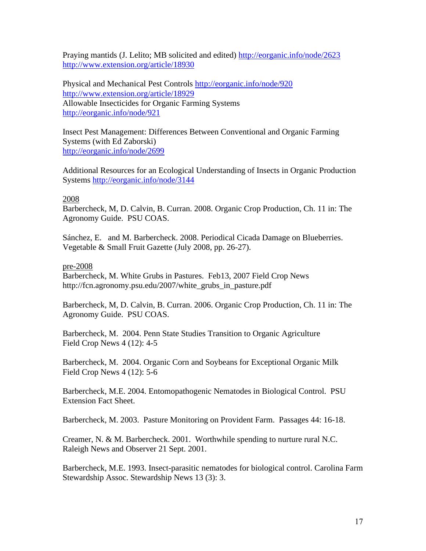Praying mantids (J. Lelito; MB solicited and edited)<http://eorganic.info/node/2623> <http://www.extension.org/article/18930>

Physical and Mechanical Pest Controls<http://eorganic.info/node/920> <http://www.extension.org/article/18929> Allowable Insecticides for Organic Farming Systems <http://eorganic.info/node/921>

Insect Pest Management: Differences Between Conventional and Organic Farming Systems (with Ed Zaborski) <http://eorganic.info/node/2699>

Additional Resources for an Ecological Understanding of Insects in Organic Production Systems<http://eorganic.info/node/3144>

### 2008

Barbercheck, M, D. Calvin, B. Curran. 2008. Organic Crop Production, Ch. 11 in: The Agronomy Guide. PSU COAS.

Sánchez, E. and [M. Barbercheck.](http://www.ento.psu.edu/Personnel/Faculty/barbercheck.htm) 2008. Periodical Cicada Damage on Blueberries. Vegetable & Small Fruit Gazette (July 2008, pp. 26-27).

#### pre-2008

Barbercheck, M. White Grubs in Pastures. Feb13, 2007 Field Crop News http://fcn.agronomy.psu.edu/2007/white\_grubs\_in\_pasture.pdf

Barbercheck, M, D. Calvin, B. Curran. 2006. Organic Crop Production, Ch. 11 in: The Agronomy Guide. PSU COAS.

Barbercheck, M. 2004. Penn State Studies Transition to Organic Agriculture Field Crop News 4 (12): 4-5

Barbercheck, M. 2004. Organic Corn and Soybeans for Exceptional Organic Milk Field Crop News 4 (12): 5-6

Barbercheck, M.E. 2004. Entomopathogenic Nematodes in Biological Control. PSU Extension Fact Sheet.

Barbercheck, M. 2003. Pasture Monitoring on Provident Farm. Passages 44: 16-18.

Creamer, N. & M. Barbercheck. 2001. Worthwhile spending to nurture rural N.C. Raleigh News and Observer 21 Sept. 2001.

Barbercheck, M.E. 1993. Insect-parasitic nematodes for biological control. Carolina Farm Stewardship Assoc. Stewardship News 13 (3): 3.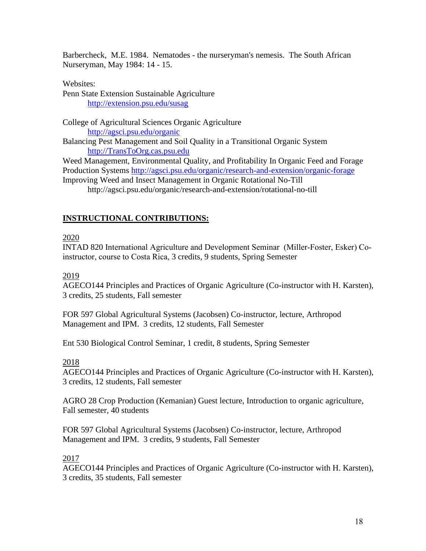Barbercheck, M.E. 1984. Nematodes - the nurseryman's nemesis. The South African Nurseryman, May 1984: 14 - 15.

Websites:

Penn State Extension Sustainable Agriculture <http://extension.psu.edu/susag>

College of Agricultural Sciences Organic Agriculture <http://agsci.psu.edu/organic> Balancing Pest Management and Soil Quality in a Transitional Organic System [http://TransToOrg.cas.psu.edu](http://transtoorg.cas.psu.edu/) Weed Management, Environmental Quality, and Profitability In Organic Feed and Forage Production Systems<http://agsci.psu.edu/organic/research-and-extension/organic-forage> Improving Weed and Insect Management in Organic Rotational No-Till

http://agsci.psu.edu/organic/research-and-extension/rotational-no-till

# **INSTRUCTIONAL CONTRIBUTIONS:**

# 2020

INTAD 820 International Agriculture and Development Seminar (Miller-Foster, Esker) Coinstructor, course to Costa Rica, 3 credits, 9 students, Spring Semester

# 2019

AGECO144 Principles and Practices of Organic Agriculture (Co-instructor with H. Karsten), 3 credits, 25 students, Fall semester

FOR 597 Global Agricultural Systems (Jacobsen) Co-instructor, lecture, Arthropod Management and IPM. 3 credits, 12 students, Fall Semester

Ent 530 Biological Control Seminar, 1 credit, 8 students, Spring Semester

# 2018

AGECO144 Principles and Practices of Organic Agriculture (Co-instructor with H. Karsten), 3 credits, 12 students, Fall semester

AGRO 28 Crop Production (Kemanian) Guest lecture, Introduction to organic agriculture, Fall semester, 40 students

FOR 597 Global Agricultural Systems (Jacobsen) Co-instructor, lecture, Arthropod Management and IPM. 3 credits, 9 students, Fall Semester

# 2017

AGECO144 Principles and Practices of Organic Agriculture (Co-instructor with H. Karsten), 3 credits, 35 students, Fall semester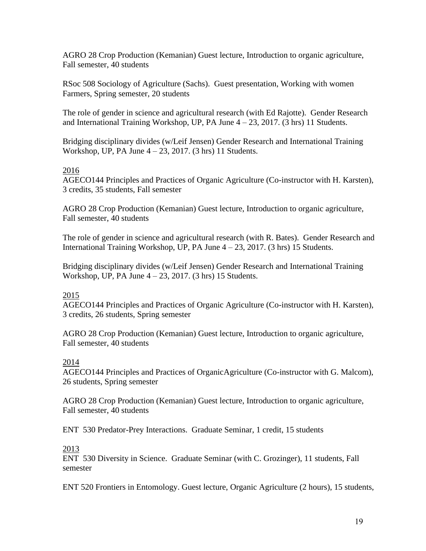AGRO 28 Crop Production (Kemanian) Guest lecture, Introduction to organic agriculture, Fall semester, 40 students

RSoc 508 Sociology of Agriculture (Sachs). Guest presentation, Working with women Farmers, Spring semester, 20 students

The role of gender in science and agricultural research (with Ed Rajotte). Gender Research and International Training Workshop, UP, PA June  $4 - 23$ , 2017. (3 hrs) 11 Students.

Bridging disciplinary divides (w/Leif Jensen) Gender Research and International Training Workshop, UP, PA June 4 – 23, 2017. (3 hrs) 11 Students.

## 2016

AGECO144 Principles and Practices of Organic Agriculture (Co-instructor with H. Karsten), 3 credits, 35 students, Fall semester

AGRO 28 Crop Production (Kemanian) Guest lecture, Introduction to organic agriculture, Fall semester, 40 students

The role of gender in science and agricultural research (with R. Bates). Gender Research and International Training Workshop, UP, PA June 4 – 23, 2017. (3 hrs) 15 Students.

Bridging disciplinary divides (w/Leif Jensen) Gender Research and International Training Workshop, UP, PA June 4 – 23, 2017. (3 hrs) 15 Students.

# 2015

AGECO144 Principles and Practices of Organic Agriculture (Co-instructor with H. Karsten), 3 credits, 26 students, Spring semester

AGRO 28 Crop Production (Kemanian) Guest lecture, Introduction to organic agriculture, Fall semester, 40 students

### 2014

AGECO144 Principles and Practices of OrganicAgriculture (Co-instructor with G. Malcom), 26 students, Spring semester

AGRO 28 Crop Production (Kemanian) Guest lecture, Introduction to organic agriculture, Fall semester, 40 students

ENT 530 Predator-Prey Interactions. Graduate Seminar, 1 credit, 15 students

### 2013

ENT 530 Diversity in Science. Graduate Seminar (with C. Grozinger), 11 students, Fall semester

ENT 520 Frontiers in Entomology. Guest lecture, Organic Agriculture (2 hours), 15 students,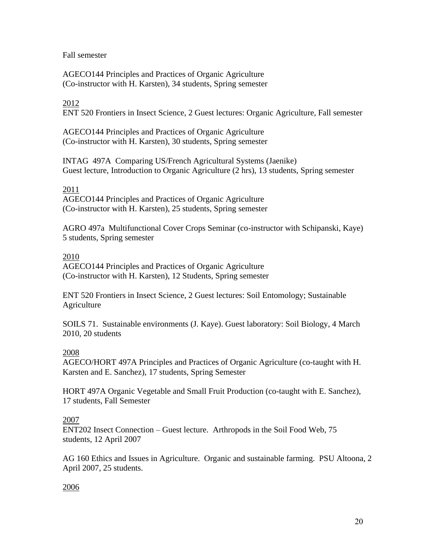## Fall semester

AGECO144 Principles and Practices of Organic Agriculture (Co-instructor with H. Karsten), 34 students, Spring semester

# 2012

ENT 520 Frontiers in Insect Science, 2 Guest lectures: Organic Agriculture, Fall semester

AGECO144 Principles and Practices of Organic Agriculture (Co-instructor with H. Karsten), 30 students, Spring semester

INTAG 497A Comparing US/French Agricultural Systems (Jaenike) Guest lecture, Introduction to Organic Agriculture (2 hrs), 13 students, Spring semester

## 2011

AGECO144 Principles and Practices of Organic Agriculture (Co-instructor with H. Karsten), 25 students, Spring semester

AGRO 497a Multifunctional Cover Crops Seminar (co-instructor with Schipanski, Kaye) 5 students, Spring semester

## 2010

AGECO144 Principles and Practices of Organic Agriculture (Co-instructor with H. Karsten), 12 Students, Spring semester

ENT 520 Frontiers in Insect Science, 2 Guest lectures: Soil Entomology; Sustainable Agriculture

SOILS 71. Sustainable environments (J. Kaye). Guest laboratory: Soil Biology, 4 March 2010, 20 students

### 2008

AGECO/HORT 497A Principles and Practices of Organic Agriculture (co-taught with H. Karsten and E. Sanchez), 17 students, Spring Semester

HORT 497A Organic Vegetable and Small Fruit Production (co-taught with E. Sanchez), 17 students, Fall Semester

# 2007

ENT202 Insect Connection – Guest lecture. Arthropods in the Soil Food Web, 75 students, 12 April 2007

AG 160 Ethics and Issues in Agriculture. Organic and sustainable farming. PSU Altoona, 2 April 2007, 25 students.

# 2006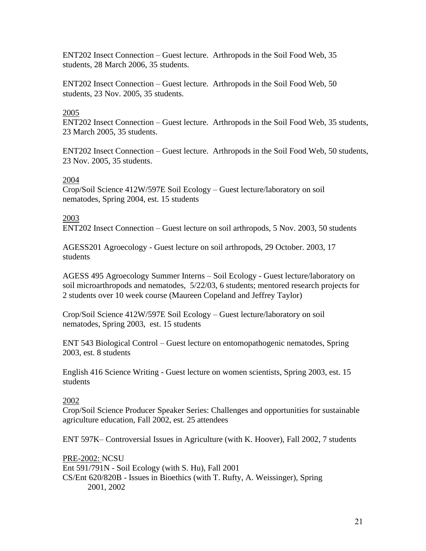ENT202 Insect Connection – Guest lecture. Arthropods in the Soil Food Web, 35 students, 28 March 2006, 35 students.

ENT202 Insect Connection – Guest lecture. Arthropods in the Soil Food Web, 50 students, 23 Nov. 2005, 35 students.

## 2005

ENT202 Insect Connection – Guest lecture. Arthropods in the Soil Food Web, 35 students, 23 March 2005, 35 students.

ENT202 Insect Connection – Guest lecture. Arthropods in the Soil Food Web, 50 students, 23 Nov. 2005, 35 students.

### 2004

Crop/Soil Science 412W/597E Soil Ecology – Guest lecture/laboratory on soil nematodes, Spring 2004, est. 15 students

### 2003

ENT202 Insect Connection – Guest lecture on soil arthropods, 5 Nov. 2003, 50 students

AGESS201 Agroecology - Guest lecture on soil arthropods, 29 October. 2003, 17 students

AGESS 495 Agroecology Summer Interns – Soil Ecology - Guest lecture/laboratory on soil microarthropods and nematodes, 5/22/03, 6 students; mentored research projects for 2 students over 10 week course (Maureen Copeland and Jeffrey Taylor)

Crop/Soil Science 412W/597E Soil Ecology – Guest lecture/laboratory on soil nematodes, Spring 2003, est. 15 students

ENT 543 Biological Control – Guest lecture on entomopathogenic nematodes, Spring 2003, est. 8 students

English 416 Science Writing - Guest lecture on women scientists, Spring 2003, est. 15 students

### 2002

Crop/Soil Science Producer Speaker Series: Challenges and opportunities for sustainable agriculture education, Fall 2002, est. 25 attendees

ENT 597K– Controversial Issues in Agriculture (with K. Hoover), Fall 2002, 7 students

PRE-2002: NCSU Ent 591/791N - Soil Ecology (with S. Hu), Fall 2001 CS/Ent 620/820B - Issues in Bioethics (with T. Rufty, A. Weissinger), Spring 2001, 2002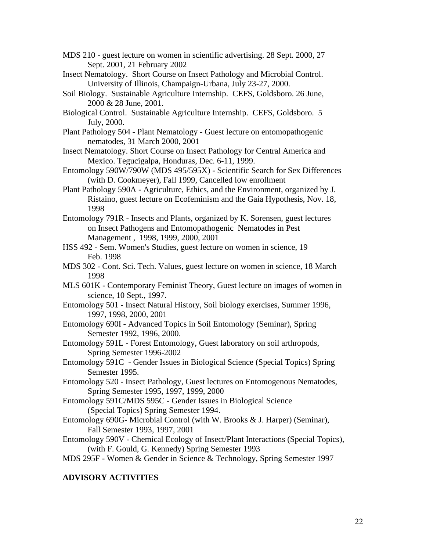- MDS 210 guest lecture on women in scientific advertising. 28 Sept. 2000, 27 Sept. 2001, 21 February 2002
- Insect Nematology. Short Course on Insect Pathology and Microbial Control. University of Illinois, Champaign-Urbana, July 23-27, 2000.
- Soil Biology. Sustainable Agriculture Internship. CEFS, Goldsboro. 26 June, 2000 & 28 June, 2001.
- Biological Control. Sustainable Agriculture Internship. CEFS, Goldsboro. 5 July, 2000.
- Plant Pathology 504 Plant Nematology Guest lecture on entomopathogenic nematodes, 31 March 2000, 2001
- Insect Nematology. Short Course on Insect Pathology for Central America and Mexico. Tegucigalpa, Honduras, Dec. 6-11, 1999.
- Entomology 590W/790W (MDS 495/595X) Scientific Search for Sex Differences (with D. Cookmeyer), Fall 1999, Cancelled low enrollment
- Plant Pathology 590A Agriculture, Ethics, and the Environment, organized by J. Ristaino, guest lecture on Ecofeminism and the Gaia Hypothesis, Nov. 18, 1998
- Entomology 791R Insects and Plants, organized by K. Sorensen, guest lectures on Insect Pathogens and Entomopathogenic Nematodes in Pest Management , 1998, 1999, 2000, 2001
- HSS 492 Sem. Women's Studies, guest lecture on women in science, 19 Feb. 1998
- MDS 302 Cont. Sci. Tech. Values, guest lecture on women in science, 18 March 1998
- MLS 601K Contemporary Feminist Theory, Guest lecture on images of women in science, 10 Sept., 1997.
- Entomology 501 Insect Natural History, Soil biology exercises, Summer 1996, 1997, 1998, 2000, 2001
- Entomology 690I Advanced Topics in Soil Entomology (Seminar), Spring Semester 1992, 1996, 2000.
- Entomology 591L Forest Entomology, Guest laboratory on soil arthropods, Spring Semester 1996-2002
- Entomology 591C Gender Issues in Biological Science (Special Topics) Spring Semester 1995.
- Entomology 520 Insect Pathology, Guest lectures on Entomogenous Nematodes, Spring Semester 1995, 1997, 1999, 2000
- Entomology 591C/MDS 595C Gender Issues in Biological Science (Special Topics) Spring Semester 1994.
- Entomology 690G- Microbial Control (with W. Brooks & J. Harper) (Seminar), Fall Semester 1993, 1997, 2001
- Entomology 590V Chemical Ecology of Insect/Plant Interactions (Special Topics), (with F. Gould, G. Kennedy) Spring Semester 1993

MDS 295F - Women & Gender in Science & Technology, Spring Semester 1997

#### **ADVISORY ACTIVITIES**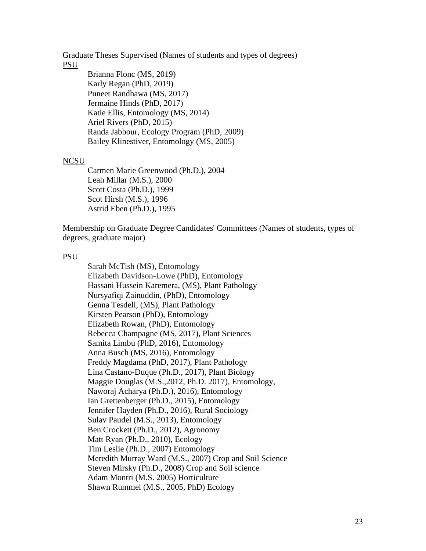Graduate Theses Supervised (Names of students and types of degrees) PSU

> Brianna Flonc (MS, 2019) Karly Regan (PhD, 2019) Puneet Randhawa (MS, 2017) Jermaine Hinds (PhD, 2017) Katie Ellis, Entomology (MS, 2014) Ariel Rivers (PhD, 2015) Randa Jabbour, Ecology Program (PhD, 2009) Bailey Klinestiver, Entomology (MS, 2005)

# **NCSU**

Carmen Marie Greenwood (Ph.D.), 2004 Leah Millar (M.S.), 2000 Scott Costa (Ph.D.), 1999 Scot Hirsh (M.S.), 1996 Astrid Eben (Ph.D.), 1995

Membership on Graduate Degree Candidates' Committees (Names of students, types of degrees, graduate major)

### **PSU**

Sarah McTish (MS), Entomology Elizabeth Davidson-Lowe (PhD), Entomology Hassani Hussein Karemera, (MS), Plant Pathology Nursyafiqi Zainuddin, (PhD), Entomology Genna Tesdell, (MS), Plant Pathology Kirsten Pearson (PhD), Entomology Elizabeth Rowan, (PhD), Entomology Rebecca Champagne (MS, 2017), Plant Sciences Samita Limbu (PhD, 2016), Entomology Anna Busch (MS, 2016), Entomology Freddy Magdama (PhD, 2017), Plant Pathology Lina Castano-Duque (Ph.D., 2017), Plant Biology Maggie Douglas (M.S.,2012, Ph.D. 2017), Entomology, Naworaj Acharya (Ph.D.), 2016), Entomology Ian Grettenberger (Ph.D., 2015), Entomology Jennifer Hayden (Ph.D., 2016), Rural Sociology Sulav Paudel (M.S., 2013), Entomology Ben Crockett (Ph.D., 2012), Agronomy Matt Ryan (Ph.D., 2010), Ecology Tim Leslie (Ph.D., 2007) Entomology Meredith Murray Ward (M.S., 2007) Crop and Soil Science Steven Mirsky (Ph.D., 2008) Crop and Soil science Adam Montri (M.S. 2005) Horticulture Shawn Rummel (M.S., 2005, PhD) Ecology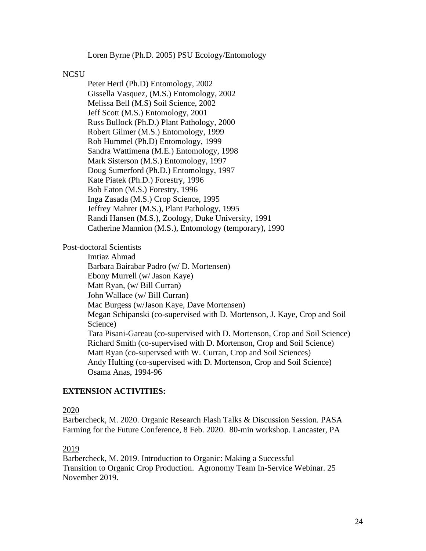Loren Byrne (Ph.D. 2005) PSU Ecology/Entomology

#### **NCSU**

Peter Hertl (Ph.D) Entomology, 2002 Gissella Vasquez, (M.S.) Entomology, 2002 Melissa Bell (M.S) Soil Science, 2002 Jeff Scott (M.S.) Entomology, 2001 Russ Bullock (Ph.D.) Plant Pathology, 2000 Robert Gilmer (M.S.) Entomology, 1999 Rob Hummel (Ph.D) Entomology, 1999 Sandra Wattimena (M.E.) Entomology, 1998 Mark Sisterson (M.S.) Entomology, 1997 Doug Sumerford (Ph.D.) Entomology, 1997 Kate Piatek (Ph.D.) Forestry, 1996 Bob Eaton (M.S.) Forestry, 1996 Inga Zasada (M.S.) Crop Science, 1995 Jeffrey Mahrer (M.S.), Plant Pathology, 1995 Randi Hansen (M.S.), Zoology, Duke University, 1991 Catherine Mannion (M.S.), Entomology (temporary), 1990

Post-doctoral Scientists

Imtiaz Ahmad Barbara Bairabar Padro (w/ D. Mortensen) Ebony Murrell (w/ Jason Kaye) Matt Ryan, (w/ Bill Curran) John Wallace (w/ Bill Curran) Mac Burgess (w/Jason Kaye, Dave Mortensen) Megan Schipanski (co-supervised with D. Mortenson, J. Kaye, Crop and Soil Science) Tara Pisani-Gareau (co-supervised with D. Mortenson, Crop and Soil Science) Richard Smith (co-supervised with D. Mortenson, Crop and Soil Science) Matt Ryan (co-supervsed with W. Curran, Crop and Soil Sciences) Andy Hulting (co-supervised with D. Mortenson, Crop and Soil Science) Osama Anas, 1994-96

## **EXTENSION ACTIVITIES:**

#### 2020

Barbercheck, M. 2020. Organic Research Flash Talks & Discussion Session. PASA Farming for the Future Conference, 8 Feb. 2020. 80-min workshop. Lancaster, PA

#### 2019

Barbercheck, M. 2019. Introduction to Organic: Making a Successful Transition to Organic Crop Production. Agronomy Team In-Service Webinar. 25 November 2019.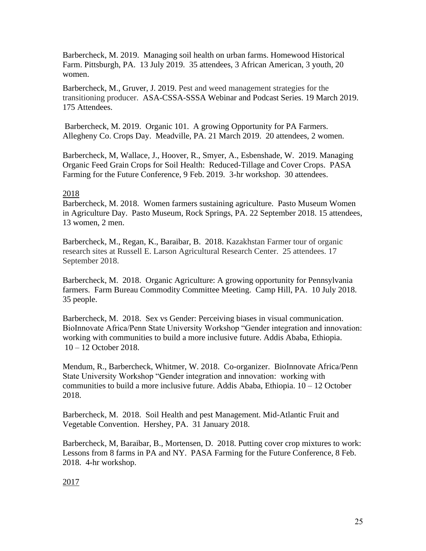Barbercheck, M. 2019. Managing soil health on urban farms. Homewood Historical Farm. Pittsburgh, PA. 13 July 2019. 35 attendees, 3 African American, 3 youth, 20 women.

Barbercheck, M., Gruver, J. 2019. Pest and weed management strategies for the transitioning producer. ASA-CSSA-SSSA Webinar and Podcast Series. 19 March 2019. 175 Attendees.

Barbercheck, M. 2019. Organic 101. A growing Opportunity for PA Farmers. Allegheny Co. Crops Day. Meadville, PA. 21 March 2019. 20 attendees, 2 women.

Barbercheck, M, Wallace, J., Hoover, R., Smyer, A., Esbenshade, W. 2019. Managing Organic Feed Grain Crops for Soil Health: Reduced-Tillage and Cover Crops. PASA Farming for the Future Conference, 9 Feb. 2019. 3-hr workshop. 30 attendees.

## 2018

Barbercheck, M. 2018. Women farmers sustaining agriculture. Pasto Museum Women in Agriculture Day. Pasto Museum, Rock Springs, PA. 22 September 2018. 15 attendees, 13 women, 2 men.

Barbercheck, M., Regan, K., Baraibar, B. 2018. Kazakhstan Farmer tour of organic research sites at Russell E. Larson Agricultural Research Center. 25 attendees. 17 September 2018.

Barbercheck, M. 2018. Organic Agriculture: A growing opportunity for Pennsylvania farmers. Farm Bureau Commodity Committee Meeting. Camp Hill, PA. 10 July 2018. 35 people.

Barbercheck, M. 2018. Sex vs Gender: Perceiving biases in visual communication. BioInnovate Africa/Penn State University Workshop "Gender integration and innovation: working with communities to build a more inclusive future. Addis Ababa, Ethiopia. 10 – 12 October 2018.

Mendum, R., Barbercheck, Whitmer, W. 2018. Co-organizer. BioInnovate Africa/Penn State University Workshop "Gender integration and innovation: working with communities to build a more inclusive future. Addis Ababa, Ethiopia. 10 – 12 October 2018.

Barbercheck, M. 2018. Soil Health and pest Management. Mid-Atlantic Fruit and Vegetable Convention. Hershey, PA. 31 January 2018.

Barbercheck, M, Baraibar, B., Mortensen, D. 2018. Putting cover crop mixtures to work: Lessons from 8 farms in PA and NY. PASA Farming for the Future Conference, 8 Feb. 2018. 4-hr workshop.

2017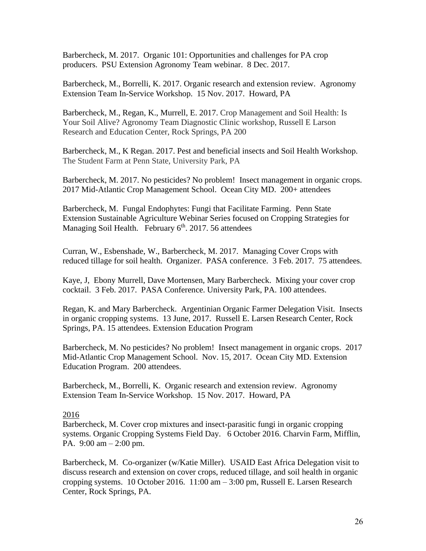Barbercheck, M. 2017. Organic 101: Opportunities and challenges for PA crop producers. PSU Extension Agronomy Team webinar. 8 Dec. 2017.

Barbercheck, M., Borrelli, K. 2017. Organic research and extension review. Agronomy Extension Team In-Service Workshop. 15 Nov. 2017. Howard, PA

Barbercheck, M., Regan, K., Murrell, E. 2017. Crop Management and Soil Health: Is Your Soil Alive? Agronomy Team Diagnostic Clinic workshop, Russell E Larson Research and Education Center, Rock Springs, PA 200

Barbercheck, M., K Regan. 2017. Pest and beneficial insects and Soil Health Workshop. The Student Farm at Penn State, University Park, PA

Barbercheck, M. 2017. No pesticides? No problem! Insect management in organic crops. 2017 Mid-Atlantic Crop Management School. Ocean City MD. 200+ attendees

Barbercheck, M. Fungal Endophytes: Fungi that Facilitate Farming. Penn State Extension Sustainable Agriculture Webinar Series focused on Cropping Strategies for Managing Soil Health. February 6<sup>th</sup>. 2017. 56 attendees

Curran, W., Esbenshade, W., Barbercheck, M. 2017. Managing Cover Crops with reduced tillage for soil health. Organizer. PASA conference. 3 Feb. 2017. 75 attendees.

Kaye, J, Ebony Murrell, Dave Mortensen, Mary Barbercheck. Mixing your cover crop cocktail. 3 Feb. 2017. PASA Conference. University Park, PA. 100 attendees.

Regan, K. and Mary Barbercheck. Argentinian Organic Farmer Delegation Visit. Insects in organic cropping systems. 13 June, 2017. Russell E. Larsen Research Center, Rock Springs, PA. 15 attendees. Extension Education Program

Barbercheck, M. No pesticides? No problem! Insect management in organic crops. 2017 Mid-Atlantic Crop Management School. Nov. 15, 2017. Ocean City MD. Extension Education Program. 200 attendees.

Barbercheck, M., Borrelli, K. Organic research and extension review. Agronomy Extension Team In-Service Workshop. 15 Nov. 2017. Howard, PA

### 2016

Barbercheck, M. Cover crop mixtures and insect-parasitic fungi in organic cropping systems. Organic Cropping Systems Field Day. 6 October 2016. Charvin Farm, Mifflin, PA. 9:00 am – 2:00 pm.

Barbercheck, M. Co-organizer (w/Katie Miller). USAID East Africa Delegation visit to discuss research and extension on cover crops, reduced tillage, and soil health in organic cropping systems. 10 October 2016. 11:00 am – 3:00 pm, Russell E. Larsen Research Center, Rock Springs, PA.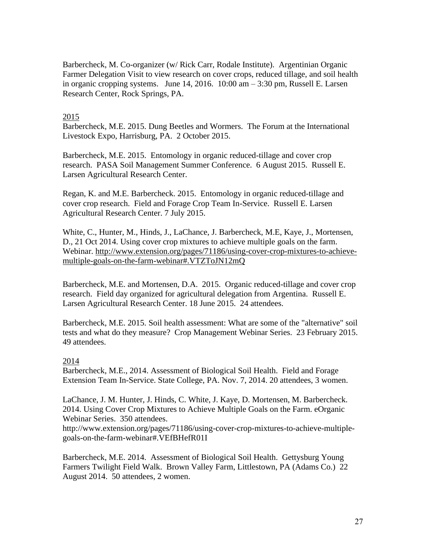Barbercheck, M. Co-organizer (w/ Rick Carr, Rodale Institute). Argentinian Organic Farmer Delegation Visit to view research on cover crops, reduced tillage, and soil health in organic cropping systems. June 14, 2016. 10:00 am – 3:30 pm, Russell E. Larsen Research Center, Rock Springs, PA.

## 2015

Barbercheck, M.E. 2015. Dung Beetles and Wormers. The Forum at the International Livestock Expo, Harrisburg, PA. 2 October 2015.

Barbercheck, M.E. 2015. Entomology in organic reduced-tillage and cover crop research. PASA Soil Management Summer Conference. 6 August 2015. Russell E. Larsen Agricultural Research Center.

Regan, K. and M.E. Barbercheck. 2015. Entomology in organic reduced-tillage and cover crop research. Field and Forage Crop Team In-Service. Russell E. Larsen Agricultural Research Center. 7 July 2015.

White, C., Hunter, M., Hinds, J., LaChance, J. Barbercheck, M.E, Kaye, J., Mortensen, D., 21 Oct 2014. Using cover crop mixtures to achieve multiple goals on the farm. Webinar. [http://www.extension.org/pages/71186/using-cover-crop-mixtures-to-achieve](http://www.extension.org/pages/71186/using-cover-crop-mixtures-to-achieve-multiple-goals-on-the-farm-webinar#.VTZToJN12mQ)[multiple-goals-on-the-farm-webinar#.VTZToJN12mQ](http://www.extension.org/pages/71186/using-cover-crop-mixtures-to-achieve-multiple-goals-on-the-farm-webinar#.VTZToJN12mQ)

Barbercheck, M.E. and Mortensen, D.A. 2015. Organic reduced-tillage and cover crop research. Field day organized for agricultural delegation from Argentina. Russell E. Larsen Agricultural Research Center. 18 June 2015. 24 attendees.

Barbercheck, M.E. 2015. Soil health assessment: What are some of the "alternative" soil tests and what do they measure? Crop Management Webinar Series. 23 February 2015. 49 attendees.

### 2014

Barbercheck, M.E., 2014. Assessment of Biological Soil Health. Field and Forage Extension Team In-Service. State College, PA. Nov. 7, 2014. 20 attendees, 3 women.

LaChance, J. M. Hunter, J. Hinds, C. White, J. Kaye, D. Mortensen, M. Barbercheck. 2014. Using Cover Crop Mixtures to Achieve Multiple Goals on the Farm. eOrganic Webinar Series. 350 attendees.

http://www.extension.org/pages/71186/using-cover-crop-mixtures-to-achieve-multiplegoals-on-the-farm-webinar#.VEfBHefR01I

Barbercheck, M.E. 2014. Assessment of Biological Soil Health. Gettysburg Young Farmers Twilight Field Walk. Brown Valley Farm, Littlestown, PA (Adams Co.) 22 August 2014. 50 attendees, 2 women.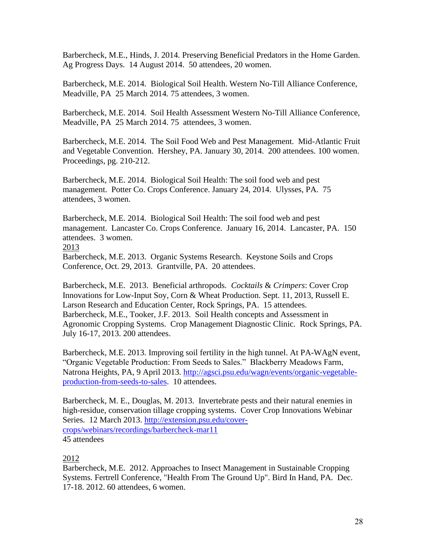Barbercheck, M.E., Hinds, J. 2014. Preserving Beneficial Predators in the Home Garden. Ag Progress Days. 14 August 2014. 50 attendees, 20 women.

Barbercheck, M.E. 2014. Biological Soil Health. Western No-Till Alliance Conference, Meadville, PA 25 March 2014. 75 attendees, 3 women.

Barbercheck, M.E. 2014. Soil Health Assessment Western No-Till Alliance Conference, Meadville, PA 25 March 2014. 75 attendees, 3 women.

Barbercheck, M.E. 2014. The Soil Food Web and Pest Management. Mid-Atlantic Fruit and Vegetable Convention. Hershey, PA. January 30, 2014. 200 attendees. 100 women. Proceedings, pg. 210-212.

Barbercheck, M.E. 2014. Biological Soil Health: The soil food web and pest management. Potter Co. Crops Conference. January 24, 2014. Ulysses, PA. 75 attendees, 3 women.

Barbercheck, M.E. 2014. Biological Soil Health: The soil food web and pest management. Lancaster Co. Crops Conference. January 16, 2014. Lancaster, PA. 150 attendees. 3 women. 2013

Barbercheck, M.E. 2013. Organic Systems Research. Keystone Soils and Crops Conference, Oct. 29, 2013. Grantville, PA. 20 attendees.

Barbercheck, M.E. 2013. Beneficial arthropods. *Cocktails* & *Crimpers*: Cover Crop Innovations for Low-Input Soy, Corn & Wheat Production. Sept. 11, 2013, Russell E. Larson Research and Education Center, Rock Springs, PA. 15 attendees. Barbercheck, M.E., Tooker, J.F. 2013. Soil Health concepts and Assessment in Agronomic Cropping Systems. Crop Management Diagnostic Clinic. Rock Springs, PA. July 16-17, 2013. 200 attendees.

Barbercheck, M.E. 2013. Improving soil fertility in the high tunnel. At PA-WAgN event, "Organic Vegetable Production: From Seeds to Sales." Blackberry Meadows Farm, Natrona Heights, PA, 9 April 2013. [http://agsci.psu.edu/wagn/events/organic-vegetable](http://agsci.psu.edu/wagn/events/organic-vegetable-production-from-seeds-to-sales)[production-from-seeds-to-sales.](http://agsci.psu.edu/wagn/events/organic-vegetable-production-from-seeds-to-sales) 10 attendees.

Barbercheck, M. E., Douglas, M. 2013. Invertebrate pests and their natural enemies in high-residue, conservation tillage cropping systems. Cover Crop Innovations Webinar Series. 12 March 2013. [http://extension.psu.edu/cover](http://extension.psu.edu/cover-crops/webinars/recordings/barbercheck-mar11)[crops/webinars/recordings/barbercheck-mar11](http://extension.psu.edu/cover-crops/webinars/recordings/barbercheck-mar11) 45 attendees

2012

Barbercheck, M.E. 2012. Approaches to Insect Management in Sustainable Cropping Systems. Fertrell Conference, "Health From The Ground Up". Bird In Hand, PA. Dec. 17-18. 2012. 60 attendees, 6 women.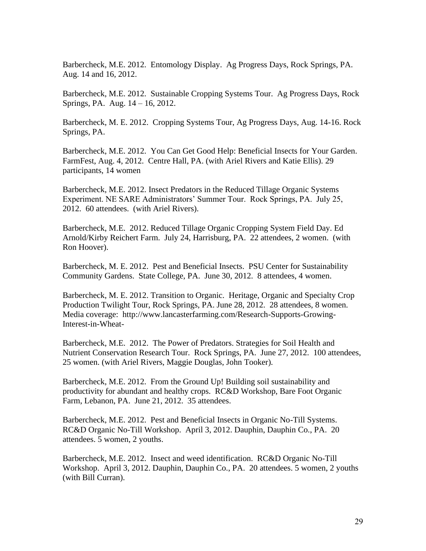Barbercheck, M.E. 2012. Entomology Display. Ag Progress Days, Rock Springs, PA. Aug. 14 and 16, 2012.

Barbercheck, M.E. 2012. Sustainable Cropping Systems Tour. Ag Progress Days, Rock Springs, PA. Aug. 14 – 16, 2012.

Barbercheck, M. E. 2012. Cropping Systems Tour, Ag Progress Days, Aug. 14-16. Rock Springs, PA.

Barbercheck, M.E. 2012. You Can Get Good Help: Beneficial Insects for Your Garden. FarmFest, Aug. 4, 2012. Centre Hall, PA. (with Ariel Rivers and Katie Ellis). 29 participants, 14 women

Barbercheck, M.E. 2012. Insect Predators in the Reduced Tillage Organic Systems Experiment. NE SARE Administrators' Summer Tour. Rock Springs, PA. July 25, 2012. 60 attendees. (with Ariel Rivers).

Barbercheck, M.E. 2012. Reduced Tillage Organic Cropping System Field Day. Ed Arnold/Kirby Reichert Farm. July 24, Harrisburg, PA. 22 attendees, 2 women. (with Ron Hoover).

Barbercheck, M. E. 2012. Pest and Beneficial Insects. PSU Center for Sustainability Community Gardens. State College, PA. June 30, 2012. 8 attendees, 4 women.

Barbercheck, M. E. 2012. Transition to Organic. Heritage, Organic and Specialty Crop Production Twilight Tour, Rock Springs, PA. June 28, 2012. 28 attendees, 8 women. Media coverage: http://www.lancasterfarming.com/Research-Supports-Growing-Interest-in-Wheat-

Barbercheck, M.E. 2012. The Power of Predators. Strategies for Soil Health and Nutrient Conservation Research Tour. Rock Springs, PA. June 27, 2012. 100 attendees, 25 women. (with Ariel Rivers, Maggie Douglas, John Tooker).

Barbercheck, M.E. 2012. From the Ground Up! Building soil sustainability and productivity for abundant and healthy crops. RC&D Workshop, Bare Foot Organic Farm, Lebanon, PA. June 21, 2012. 35 attendees.

Barbercheck, M.E. 2012. Pest and Beneficial Insects in Organic No-Till Systems. RC&D Organic No-Till Workshop. April 3, 2012. Dauphin, Dauphin Co., PA. 20 attendees. 5 women, 2 youths.

Barbercheck, M.E. 2012. Insect and weed identification. RC&D Organic No-Till Workshop. April 3, 2012. Dauphin, Dauphin Co., PA. 20 attendees. 5 women, 2 youths (with Bill Curran).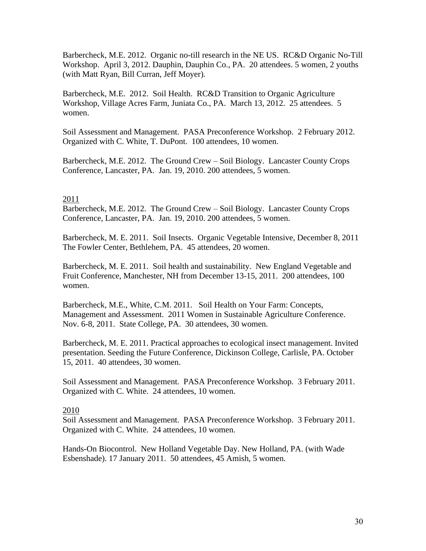Barbercheck, M.E. 2012. Organic no-till research in the NE US. RC&D Organic No-Till Workshop. April 3, 2012. Dauphin, Dauphin Co., PA. 20 attendees. 5 women, 2 youths (with Matt Ryan, Bill Curran, Jeff Moyer).

Barbercheck, M.E. 2012. Soil Health. RC&D Transition to Organic Agriculture Workshop, Village Acres Farm, Juniata Co., PA. March 13, 2012. 25 attendees. 5 women.

Soil Assessment and Management. PASA Preconference Workshop. 2 February 2012. Organized with C. White, T. DuPont. 100 attendees, 10 women.

Barbercheck, M.E. 2012. The Ground Crew – Soil Biology. Lancaster County Crops Conference, Lancaster, PA. Jan. 19, 2010. 200 attendees, 5 women.

### 2011

Barbercheck, M.E. 2012. The Ground Crew – Soil Biology. Lancaster County Crops Conference, Lancaster, PA. Jan. 19, 2010. 200 attendees, 5 women.

Barbercheck, M. E. 2011. Soil Insects. Organic Vegetable Intensive, December 8, 2011 The Fowler Center, Bethlehem, PA. 45 attendees, 20 women.

Barbercheck, M. E. 2011. Soil health and sustainability. New England Vegetable and Fruit Conference, Manchester, NH from December 13-15, 2011. 200 attendees, 100 women.

Barbercheck, M.E., White, C.M. 2011. Soil Health on Your Farm: Concepts, Management and Assessment. 2011 Women in Sustainable Agriculture Conference. Nov. 6-8, 2011. State College, PA. 30 attendees, 30 women.

Barbercheck, M. E. 2011. Practical approaches to ecological insect management. Invited presentation. Seeding the Future Conference, Dickinson College, Carlisle, PA. October 15, 2011. 40 attendees, 30 women.

Soil Assessment and Management. PASA Preconference Workshop. 3 February 2011. Organized with C. White. 24 attendees, 10 women.

# 2010

Soil Assessment and Management. PASA Preconference Workshop. 3 February 2011. Organized with C. White. 24 attendees, 10 women.

Hands-On Biocontrol. New Holland Vegetable Day. New Holland, PA. (with Wade Esbenshade). 17 January 2011. 50 attendees, 45 Amish, 5 women.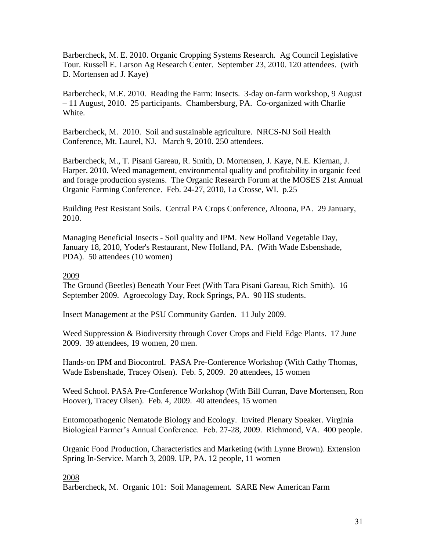Barbercheck, M. E. 2010. Organic Cropping Systems Research. Ag Council Legislative Tour. Russell E. Larson Ag Research Center. September 23, 2010. 120 attendees. (with D. Mortensen ad J. Kaye)

Barbercheck, M.E. 2010. Reading the Farm: Insects. 3-day on-farm workshop, 9 August – 11 August, 2010. 25 participants. Chambersburg, PA. Co-organized with Charlie White.

Barbercheck, M. 2010. Soil and sustainable agriculture. NRCS-NJ Soil Health Conference, Mt. Laurel, NJ. March 9, 2010. 250 attendees.

Barbercheck, M., T. Pisani Gareau, R. Smith, D. Mortensen, J. Kaye, N.E. Kiernan, J. Harper. 2010. Weed management, environmental quality and profitability in organic feed and forage production systems. The Organic Research Forum at the MOSES 21st Annual Organic Farming Conference. Feb. 24-27, 2010, La Crosse, WI. p.25

Building Pest Resistant Soils. Central PA Crops Conference, Altoona, PA. 29 January, 2010.

Managing Beneficial Insects - Soil quality and IPM. New Holland Vegetable Day, January 18, 2010, Yoder's Restaurant, New Holland, PA. (With Wade Esbenshade, PDA). 50 attendees (10 women)

#### 2009

The Ground (Beetles) Beneath Your Feet (With Tara Pisani Gareau, Rich Smith). 16 September 2009. Agroecology Day, Rock Springs, PA. 90 HS students.

Insect Management at the PSU Community Garden. 11 July 2009.

Weed Suppression & Biodiversity through Cover Crops and Field Edge Plants. 17 June 2009. 39 attendees, 19 women, 20 men.

Hands-on IPM and Biocontrol. PASA Pre-Conference Workshop (With Cathy Thomas, Wade Esbenshade, Tracey Olsen). Feb. 5, 2009. 20 attendees, 15 women

Weed School. PASA Pre-Conference Workshop (With Bill Curran, Dave Mortensen, Ron Hoover), Tracey Olsen). Feb. 4, 2009. 40 attendees, 15 women

Entomopathogenic Nematode Biology and Ecology. Invited Plenary Speaker. Virginia Biological Farmer's Annual Conference. Feb. 27-28, 2009. Richmond, VA. 400 people.

Organic Food Production, Characteristics and Marketing (with Lynne Brown). Extension Spring In-Service. March 3, 2009. UP, PA. 12 people, 11 women

### 2008

Barbercheck, M. Organic 101: Soil Management. SARE New American Farm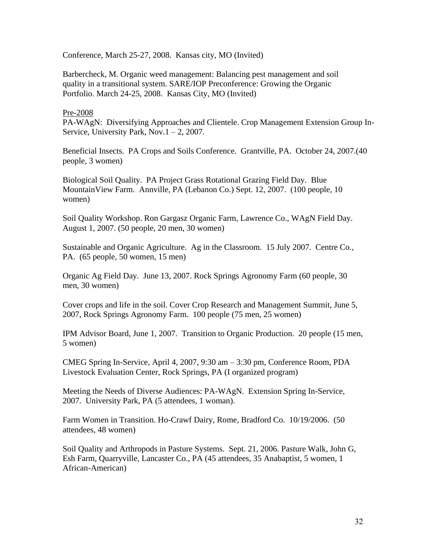Conference, March 25-27, 2008. Kansas city, MO (Invited)

Barbercheck, M. Organic weed management: Balancing pest management and soil quality in a transitional system. SARE/IOP Preconference: Growing the Organic Portfolio. March 24-25, 2008. Kansas City, MO (Invited)

#### Pre-2008

PA-WAgN: Diversifying Approaches and Clientele. Crop Management Extension Group In-Service, University Park, Nov.1 – 2, 2007.

Beneficial Insects. PA Crops and Soils Conference. Grantville, PA. October 24, 2007.(40 people, 3 women)

Biological Soil Quality. PA Project Grass Rotational Grazing Field Day. Blue MountainView Farm. Annville, PA (Lebanon Co.) Sept. 12, 2007. (100 people, 10 women)

Soil Quality Workshop. Ron Gargasz Organic Farm, Lawrence Co., WAgN Field Day. August 1, 2007. (50 people, 20 men, 30 women)

Sustainable and Organic Agriculture. Ag in the Classroom. 15 July 2007. Centre Co., PA. (65 people, 50 women, 15 men)

Organic Ag Field Day. June 13, 2007. Rock Springs Agronomy Farm (60 people, 30 men, 30 women)

Cover crops and life in the soil. Cover Crop Research and Management Summit, June 5, 2007, Rock Springs Agronomy Farm. 100 people (75 men, 25 women)

IPM Advisor Board, June 1, 2007. Transition to Organic Production. 20 people (15 men, 5 women)

CMEG Spring In-Service, April 4, 2007, 9:30 am – 3:30 pm, Conference Room, PDA Livestock Evaluation Center, Rock Springs, PA (I organized program)

Meeting the Needs of Diverse Audiences: PA-WAgN. Extension Spring In-Service, 2007. University Park, PA (5 attendees, 1 woman).

Farm Women in Transition. Ho-Crawf Dairy, Rome, Bradford Co. 10/19/2006. (50 attendees, 48 women)

Soil Quality and Arthropods in Pasture Systems. Sept. 21, 2006. Pasture Walk, John G, Esh Farm, Quarryville, Lancaster Co., PA (45 attendees, 35 Anabaptist, 5 women, 1 African-American)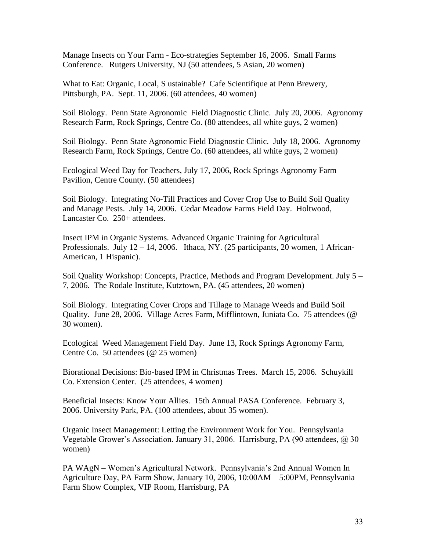Manage Insects on Your Farm - Eco-strategies September 16, 2006. Small Farms Conference. Rutgers University, NJ (50 attendees, 5 Asian, 20 women)

What to Eat: Organic, Local, S ustainable? Cafe Scientifique at Penn Brewery, Pittsburgh, PA. Sept. 11, 2006. (60 attendees, 40 women)

Soil Biology. Penn State Agronomic Field Diagnostic Clinic. July 20, 2006. Agronomy Research Farm, Rock Springs, Centre Co. (80 attendees, all white guys, 2 women)

Soil Biology. Penn State Agronomic Field Diagnostic Clinic. July 18, 2006. Agronomy Research Farm, Rock Springs, Centre Co. (60 attendees, all white guys, 2 women)

Ecological Weed Day for Teachers, July 17, 2006, Rock Springs Agronomy Farm Pavilion, Centre County. (50 attendees)

Soil Biology. Integrating No-Till Practices and Cover Crop Use to Build Soil Quality and Manage Pests. July 14, 2006. Cedar Meadow Farms Field Day. Holtwood, Lancaster Co. 250+ attendees.

Insect IPM in Organic Systems. Advanced Organic Training for Agricultural Professionals. July  $12 - 14$ , 2006. Ithaca, NY. (25 participants, 20 women, 1 African-American, 1 Hispanic).

Soil Quality Workshop: Concepts, Practice, Methods and Program Development. July 5 – 7, 2006. The Rodale Institute, Kutztown, PA. (45 attendees, 20 women)

Soil Biology. Integrating Cover Crops and Tillage to Manage Weeds and Build Soil Quality. June 28, 2006. Village Acres Farm, Mifflintown, Juniata Co. 75 attendees (@ 30 women).

Ecological Weed Management Field Day. June 13, Rock Springs Agronomy Farm, Centre Co. 50 attendees (@ 25 women)

Biorational Decisions: Bio-based IPM in Christmas Trees. March 15, 2006. Schuykill Co. Extension Center. (25 attendees, 4 women)

Beneficial Insects: Know Your Allies. 15th Annual PASA Conference. February 3, 2006. University Park, PA. (100 attendees, about 35 women).

Organic Insect Management: Letting the Environment Work for You. Pennsylvania Vegetable Grower's Association. January 31, 2006. Harrisburg, PA (90 attendees, @ 30 women)

PA WAgN – Women's Agricultural Network. Pennsylvania's 2nd Annual Women In Agriculture Day, PA Farm Show, January 10, 2006, 10:00AM – 5:00PM, Pennsylvania Farm Show Complex, VIP Room, Harrisburg, PA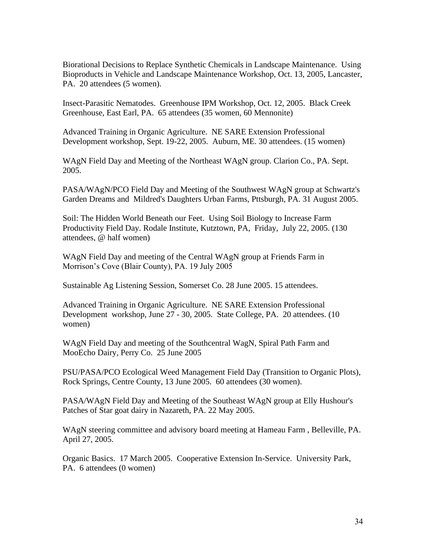Biorational Decisions to Replace Synthetic Chemicals in Landscape Maintenance. Using Bioproducts in Vehicle and Landscape Maintenance Workshop, Oct. 13, 2005, Lancaster, PA. 20 attendees (5 women).

Insect-Parasitic Nematodes. Greenhouse IPM Workshop, Oct. 12, 2005. Black Creek Greenhouse, East Earl, PA. 65 attendees (35 women, 60 Mennonite)

Advanced Training in Organic Agriculture. NE SARE Extension Professional Development workshop, Sept. 19-22, 2005. Auburn, ME. 30 attendees. (15 women)

WAgN Field Day and Meeting of the Northeast WAgN group. Clarion Co., PA. Sept. 2005.

PASA/WAgN/PCO Field Day and Meeting of the Southwest WAgN group at Schwartz's Garden Dreams and Mildred's Daughters Urban Farms, Pttsburgh, PA. 31 August 2005.

Soil: The Hidden World Beneath our Feet. Using Soil Biology to Increase Farm Productivity Field Day. Rodale Institute, Kutztown, PA, Friday, July 22, 2005. (130 attendees, @ half women)

WAgN Field Day and meeting of the Central WAgN group at Friends Farm in Morrison's Cove (Blair County), PA. 19 July 2005

Sustainable Ag Listening Session, Somerset Co. 28 June 2005. 15 attendees.

Advanced Training in Organic Agriculture. NE SARE Extension Professional Development workshop, June 27 - 30, 2005. State College, PA. 20 attendees. (10 women)

WAgN Field Day and meeting of the Southcentral WagN, Spiral Path Farm and MooEcho Dairy, Perry Co. 25 June 2005

PSU/PASA/PCO Ecological Weed Management Field Day (Transition to Organic Plots), Rock Springs, Centre County, 13 June 2005. 60 attendees (30 women).

PASA/WAgN Field Day and Meeting of the Southeast WAgN group at Elly Hushour's Patches of Star goat dairy in Nazareth, PA. 22 May 2005.

WAgN steering committee and advisory board meeting at Hameau Farm , Belleville, PA. April 27, 2005.

Organic Basics. 17 March 2005. Cooperative Extension In-Service. University Park, PA. 6 attendees (0 women)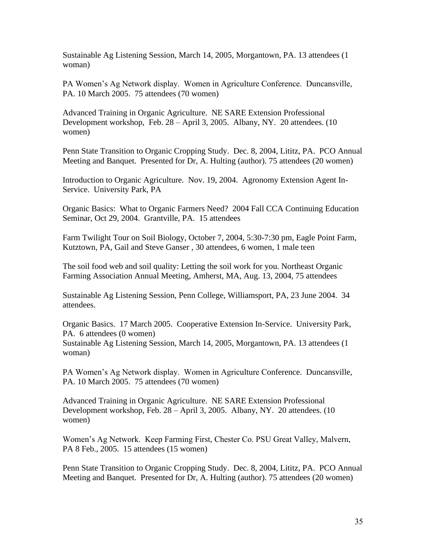Sustainable Ag Listening Session, March 14, 2005, Morgantown, PA. 13 attendees (1 woman)

PA Women's Ag Network display. Women in Agriculture Conference. Duncansville, PA. 10 March 2005. 75 attendees (70 women)

Advanced Training in Organic Agriculture. NE SARE Extension Professional Development workshop, Feb. 28 – April 3, 2005. Albany, NY. 20 attendees. (10 women)

Penn State Transition to Organic Cropping Study. Dec. 8, 2004, Lititz, PA. PCO Annual Meeting and Banquet. Presented for Dr, A. Hulting (author). 75 attendees (20 women)

Introduction to Organic Agriculture. Nov. 19, 2004. Agronomy Extension Agent In-Service. University Park, PA

Organic Basics: What to Organic Farmers Need? 2004 Fall CCA Continuing Education Seminar, Oct 29, 2004. Grantville, PA. 15 attendees

Farm Twilight Tour on Soil Biology, October 7, 2004, 5:30-7:30 pm, Eagle Point Farm, Kutztown, PA, Gail and Steve Ganser , 30 attendees, 6 women, 1 male teen

The soil food web and soil quality: Letting the soil work for you. Northeast Organic Farming Association Annual Meeting, Amherst, MA, Aug. 13, 2004, 75 attendees

Sustainable Ag Listening Session, Penn College, Williamsport, PA, 23 June 2004. 34 attendees.

Organic Basics. 17 March 2005. Cooperative Extension In-Service. University Park, PA. 6 attendees (0 women) Sustainable Ag Listening Session, March 14, 2005, Morgantown, PA. 13 attendees (1 woman)

PA Women's Ag Network display. Women in Agriculture Conference. Duncansville, PA. 10 March 2005. 75 attendees (70 women)

Advanced Training in Organic Agriculture. NE SARE Extension Professional Development workshop, Feb. 28 – April 3, 2005. Albany, NY. 20 attendees. (10 women)

Women's Ag Network. Keep Farming First, Chester Co. PSU Great Valley, Malvern, PA 8 Feb., 2005. 15 attendees (15 women)

Penn State Transition to Organic Cropping Study. Dec. 8, 2004, Lititz, PA. PCO Annual Meeting and Banquet. Presented for Dr, A. Hulting (author). 75 attendees (20 women)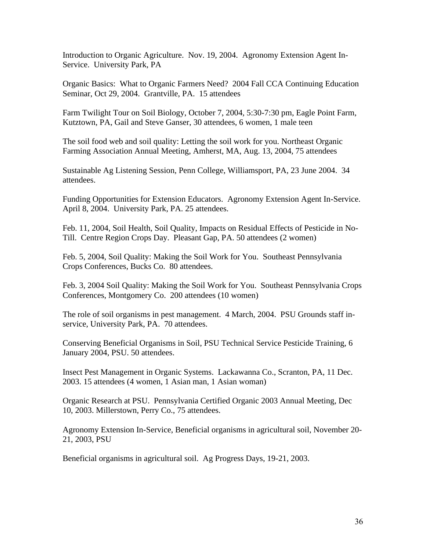Introduction to Organic Agriculture. Nov. 19, 2004. Agronomy Extension Agent In-Service. University Park, PA

Organic Basics: What to Organic Farmers Need? 2004 Fall CCA Continuing Education Seminar, Oct 29, 2004. Grantville, PA. 15 attendees

Farm Twilight Tour on Soil Biology, October 7, 2004, 5:30-7:30 pm, Eagle Point Farm, Kutztown, PA, Gail and Steve Ganser, 30 attendees, 6 women, 1 male teen

The soil food web and soil quality: Letting the soil work for you. Northeast Organic Farming Association Annual Meeting, Amherst, MA, Aug. 13, 2004, 75 attendees

Sustainable Ag Listening Session, Penn College, Williamsport, PA, 23 June 2004. 34 attendees.

Funding Opportunities for Extension Educators. Agronomy Extension Agent In-Service. April 8, 2004. University Park, PA. 25 attendees.

Feb. 11, 2004, Soil Health, Soil Quality, Impacts on Residual Effects of Pesticide in No-Till. Centre Region Crops Day. Pleasant Gap, PA. 50 attendees (2 women)

Feb. 5, 2004, Soil Quality: Making the Soil Work for You. Southeast Pennsylvania Crops Conferences, Bucks Co. 80 attendees.

Feb. 3, 2004 Soil Quality: Making the Soil Work for You. Southeast Pennsylvania Crops Conferences, Montgomery Co. 200 attendees (10 women)

The role of soil organisms in pest management. 4 March, 2004. PSU Grounds staff inservice, University Park, PA. 70 attendees.

Conserving Beneficial Organisms in Soil, PSU Technical Service Pesticide Training, 6 January 2004, PSU. 50 attendees.

Insect Pest Management in Organic Systems. Lackawanna Co., Scranton, PA, 11 Dec. 2003. 15 attendees (4 women, 1 Asian man, 1 Asian woman)

Organic Research at PSU. Pennsylvania Certified Organic 2003 Annual Meeting, Dec 10, 2003. Millerstown, Perry Co., 75 attendees.

Agronomy Extension In-Service, Beneficial organisms in agricultural soil, November 20- 21, 2003, PSU

Beneficial organisms in agricultural soil. Ag Progress Days, 19-21, 2003.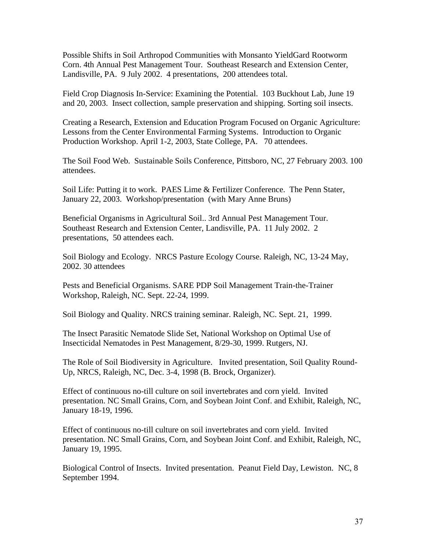Possible Shifts in Soil Arthropod Communities with Monsanto YieldGard Rootworm Corn. 4th Annual Pest Management Tour. Southeast Research and Extension Center, Landisville, PA. 9 July 2002. 4 presentations, 200 attendees total.

Field Crop Diagnosis In-Service: Examining the Potential. 103 Buckhout Lab, June 19 and 20, 2003. Insect collection, sample preservation and shipping. Sorting soil insects.

Creating a Research, Extension and Education Program Focused on Organic Agriculture: Lessons from the Center Environmental Farming Systems. Introduction to Organic Production Workshop. April 1-2, 2003, State College, PA. 70 attendees.

The Soil Food Web. Sustainable Soils Conference, Pittsboro, NC, 27 February 2003. 100 attendees.

Soil Life: Putting it to work. PAES Lime & Fertilizer Conference. The Penn Stater, January 22, 2003. Workshop/presentation (with Mary Anne Bruns)

Beneficial Organisms in Agricultural Soil.. 3rd Annual Pest Management Tour. Southeast Research and Extension Center, Landisville, PA. 11 July 2002. 2 presentations, 50 attendees each.

Soil Biology and Ecology. NRCS Pasture Ecology Course. Raleigh, NC, 13-24 May, 2002. 30 attendees

Pests and Beneficial Organisms. SARE PDP Soil Management Train-the-Trainer Workshop, Raleigh, NC. Sept. 22-24, 1999.

Soil Biology and Quality. NRCS training seminar. Raleigh, NC. Sept. 21, 1999.

The Insect Parasitic Nematode Slide Set, National Workshop on Optimal Use of Insecticidal Nematodes in Pest Management, 8/29-30, 1999. Rutgers, NJ.

The Role of Soil Biodiversity in Agriculture. Invited presentation, Soil Quality Round-Up, NRCS, Raleigh, NC, Dec. 3-4, 1998 (B. Brock, Organizer).

Effect of continuous no-till culture on soil invertebrates and corn yield. Invited presentation. NC Small Grains, Corn, and Soybean Joint Conf. and Exhibit, Raleigh, NC, January 18-19, 1996.

Effect of continuous no-till culture on soil invertebrates and corn yield. Invited presentation. NC Small Grains, Corn, and Soybean Joint Conf. and Exhibit, Raleigh, NC, January 19, 1995.

Biological Control of Insects. Invited presentation. Peanut Field Day, Lewiston. NC, 8 September 1994.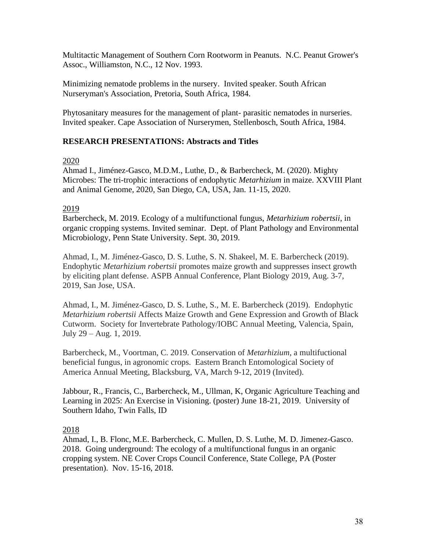Multitactic Management of Southern Corn Rootworm in Peanuts. N.C. Peanut Grower's Assoc., Williamston, N.C., 12 Nov. 1993.

Minimizing nematode problems in the nursery. Invited speaker. South African Nurseryman's Association, Pretoria, South Africa, 1984.

Phytosanitary measures for the management of plant- parasitic nematodes in nurseries. Invited speaker. Cape Association of Nurserymen, Stellenbosch, South Africa, 1984.

# **RESEARCH PRESENTATIONS: Abstracts and Titles**

# 2020

Ahmad I., Jiménez-Gasco, M.D.M., Luthe, D., & Barbercheck, M. (2020). Mighty Microbes: The tri-trophic interactions of endophytic *Metarhizium* in maize. XXVIII Plant and Animal Genome, 2020, San Diego, CA, USA, Jan. 11-15, 2020.

# 2019

Barbercheck, M. 2019. Ecology of a multifunctional fungus, *Metarhizium robertsii*, in organic cropping systems. Invited seminar. Dept. of Plant Pathology and Environmental Microbiology, Penn State University. Sept. 30, 2019.

Ahmad, I., M. Jiménez-Gasco, D. S. Luthe, S. N. Shakeel, M. E. Barbercheck (2019). Endophytic *Metarhizium robertsii* promotes maize growth and suppresses insect growth by eliciting plant defense. ASPB Annual Conference, Plant Biology 2019, Aug. 3-7, 2019, San Jose, USA.

Ahmad, I., M. Jiménez-Gasco, D. S. Luthe, S., M. E. Barbercheck (2019). Endophytic *Metarhizium robertsii* Affects Maize Growth and Gene Expression and Growth of Black Cutworm. Society for Invertebrate Pathology/IOBC Annual Meeting, Valencia, Spain, July 29 – Aug. 1, 2019.

Barbercheck, M., Voortman, C. 2019. Conservation of *Metarhizium*, a multifuctional beneficial fungus, in agronomic crops. Eastern Branch Entomological Society of America Annual Meeting, Blacksburg, VA, March 9-12, 2019 (Invited).

Jabbour, R., Francis, C., Barbercheck, M., Ullman, K, Organic Agriculture Teaching and Learning in 2025: An Exercise in Visioning. (poster) June 18-21, 2019. University of Southern Idaho, Twin Falls, ID

# 2018

Ahmad, I., B. Flonc, M.E. Barbercheck, C. Mullen, D. S. Luthe, M. D. Jimenez-Gasco. 2018. Going underground: The ecology of a multifunctional fungus in an organic cropping system. NE Cover Crops Council Conference, State College, PA (Poster presentation). Nov. 15-16, 2018.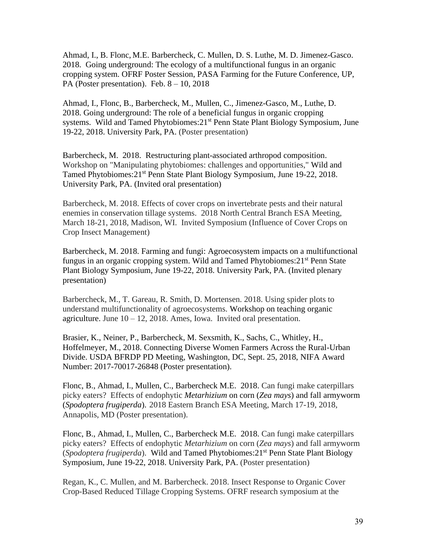Ahmad, I., B. Flonc, M.E. Barbercheck, C. Mullen, D. S. Luthe, M. D. Jimenez-Gasco. 2018. Going underground: The ecology of a multifunctional fungus in an organic cropping system. OFRF Poster Session, PASA Farming for the Future Conference, UP, PA (Poster presentation). Feb. 8 – 10, 2018

Ahmad, I., Flonc, B., Barbercheck, M., Mullen, C., Jimenez-Gasco, M., Luthe, D. 2018. Going underground: The role of a beneficial fungus in organic cropping systems. Wild and Tamed Phytobiomes: 21<sup>st</sup> Penn State Plant Biology Symposium, June 19-22, 2018. University Park, PA. (Poster presentation)

Barbercheck, M. 2018. Restructuring plant-associated arthropod composition. Workshop on "Manipulating phytobiomes: challenges and opportunities," Wild and Tamed Phytobiomes:  $21<sup>st</sup>$  Penn State Plant Biology Symposium, June 19-22, 2018. University Park, PA. (Invited oral presentation)

Barbercheck, M. 2018. Effects of cover crops on invertebrate pests and their natural enemies in conservation tillage systems. 2018 North Central Branch ESA Meeting, March 18-21, 2018, Madison, WI. Invited Symposium (Influence of Cover Crops on Crop Insect Management)

Barbercheck, M. 2018. Farming and fungi: Agroecosystem impacts on a multifunctional fungus in an organic cropping system. Wild and Tamed Phytobiomes: 21<sup>st</sup> Penn State Plant Biology Symposium, June 19-22, 2018. University Park, PA. (Invited plenary presentation)

Barbercheck, M., T. Gareau, R. Smith, D. Mortensen. 2018. Using spider plots to understand multifunctionality of agroecosystems. Workshop on teaching organic agriculture. June  $10 - 12$ , 2018. Ames, Iowa. Invited oral presentation.

Brasier, K., Neiner, P., Barbercheck, M. Sexsmith, K., Sachs, C., Whitley, H., Hoffelmeyer, M., 2018. Connecting Diverse Women Farmers Across the Rural-Urban Divide. USDA BFRDP PD Meeting, Washington, DC, Sept. 25, 2018, NIFA Award Number: 2017-70017-26848 (Poster presentation).

Flonc, B., Ahmad, I., Mullen, C., Barbercheck M.E. 2018. Can fungi make caterpillars picky eaters? Effects of endophytic *Metarhizium* on corn (*Zea mays*) and fall armyworm (*Spodoptera frugiperda*). 2018 Eastern Branch ESA Meeting, March 17-19, 2018, Annapolis, MD (Poster presentation).

Flonc, B., Ahmad, I., Mullen, C., Barbercheck M.E. 2018. Can fungi make caterpillars picky eaters? Effects of endophytic *Metarhizium* on corn (*Zea mays*) and fall armyworm (*Spodoptera frugiperda*). Wild and Tamed Phytobiomes:21st Penn State Plant Biology Symposium, June 19-22, 2018. University Park, PA. (Poster presentation)

Regan, K., C. Mullen, and M. Barbercheck. 2018. Insect Response to Organic Cover Crop-Based Reduced Tillage Cropping Systems. OFRF research symposium at the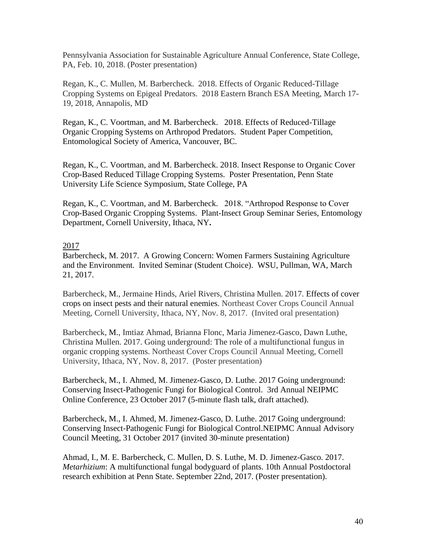Pennsylvania Association for Sustainable Agriculture Annual Conference, State College, PA, Feb. 10, 2018. (Poster presentation)

Regan, K., C. Mullen, M. Barbercheck. 2018. Effects of Organic Reduced-Tillage Cropping Systems on Epigeal Predators. 2018 Eastern Branch ESA Meeting, March 17- 19, 2018, Annapolis, MD

Regan, K., C. Voortman, and M. Barbercheck. 2018. Effects of Reduced-Tillage Organic Cropping Systems on Arthropod Predators. Student Paper Competition, Entomological Society of America, Vancouver, BC.

Regan, K., C. Voortman, and M. Barbercheck. 2018. Insect Response to Organic Cover Crop-Based Reduced Tillage Cropping Systems. Poster Presentation, Penn State University Life Science Symposium, State College, PA

Regan, K., C. Voortman, and M. Barbercheck. 2018. "Arthropod Response to Cover Crop-Based Organic Cropping Systems. Plant-Insect Group Seminar Series, Entomology Department, Cornell University, Ithaca, NY**.**

### 2017

Barbercheck, M. 2017. A Growing Concern: Women Farmers Sustaining Agriculture and the Environment. Invited Seminar (Student Choice). WSU, Pullman, WA, March 21, 2017.

Barbercheck, M., Jermaine Hinds, Ariel Rivers, Christina Mullen. 2017. Effects of cover crops on insect pests and their natural enemies. Northeast Cover Crops Council Annual Meeting, Cornell University, Ithaca, NY, Nov. 8, 2017. (Invited oral presentation)

Barbercheck, M., Imtiaz Ahmad, Brianna Flonc, Maria Jimenez-Gasco, Dawn Luthe, Christina Mullen. 2017. Going underground: The role of a multifunctional fungus in organic cropping systems. Northeast Cover Crops Council Annual Meeting, Cornell University, Ithaca, NY, Nov. 8, 2017. (Poster presentation)

Barbercheck, M., I. Ahmed, M. Jimenez-Gasco, D. Luthe. 2017 Going underground: Conserving Insect-Pathogenic Fungi for Biological Control. 3rd Annual NEIPMC Online Conference, 23 October 2017 (5-minute flash talk, draft attached).

Barbercheck, M., I. Ahmed, M. Jimenez-Gasco, D. Luthe. 2017 Going underground: Conserving Insect-Pathogenic Fungi for Biological Control.NEIPMC Annual Advisory Council Meeting, 31 October 2017 (invited 30-minute presentation)

Ahmad, I., M. E. Barbercheck, C. Mullen, D. S. Luthe, M. D. Jimenez-Gasco. 2017. *Metarhizium*: A multifunctional fungal bodyguard of plants. 10th Annual Postdoctoral research exhibition at Penn State. September 22nd, 2017. (Poster presentation).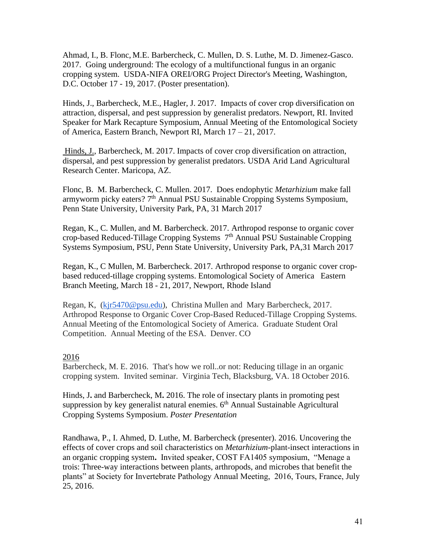Ahmad, I., B. Flonc, M.E. Barbercheck, C. Mullen, D. S. Luthe, M. D. Jimenez-Gasco. 2017. Going underground: The ecology of a multifunctional fungus in an organic cropping system. USDA-NIFA OREI/ORG Project Director's Meeting, Washington, D.C. October 17 - 19, 2017. (Poster presentation).

Hinds, J., Barbercheck, M.E., Hagler, J. 2017. Impacts of cover crop diversification on attraction, dispersal, and pest suppression by generalist predators. Newport, RI. Invited Speaker for Mark Recapture Symposium, Annual Meeting of the Entomological Society of America, Eastern Branch, Newport RI, March 17 – 21, 2017.

Hinds, J., Barbercheck, M. 2017. Impacts of cover crop diversification on attraction, dispersal, and pest suppression by generalist predators. USDA Arid Land Agricultural Research Center. Maricopa, AZ.

Flonc, B. M. Barbercheck, C. Mullen. 2017. Does endophytic *Metarhizium* make fall armyworm picky eaters? 7<sup>th</sup> Annual PSU Sustainable Cropping Systems Symposium, Penn State University, University Park, PA, 31 March 2017

Regan, K., C. Mullen, and M. Barbercheck. 2017. Arthropod response to organic cover crop-based Reduced-Tillage Cropping Systems 7<sup>th</sup> Annual PSU Sustainable Cropping Systems Symposium, PSU, Penn State University, University Park, PA,31 March 2017

Regan, K., C Mullen, M. Barbercheck. 2017. [Arthropod](https://esa.confex.com/esa/2017eb/meetingapp.cgi/Paper/119061) response to organic cover cropbased [reduced-tillage](https://esa.confex.com/esa/2017eb/meetingapp.cgi/Paper/119061) cropping systems. Entomological Society of America Eastern Branch Meeting, March 18 - 21, 2017, Newport, Rhode Island

Regan, K, [\(kjr5470@psu.edu\)](mailto:kjr5470@psu.edu), Christina Mullen and Mary Barbercheck, 2017. Arthropod Response to Organic Cover Crop-Based Reduced-Tillage Cropping Systems. Annual Meeting of the Entomological Society of America. Graduate Student Oral Competition. Annual Meeting of the ESA. Denver. CO

# 2016

Barbercheck, M. E. 2016. That's how we roll..or not: Reducing tillage in an organic cropping system. Invited seminar. Virginia Tech, Blacksburg, VA. 18 October 2016.

Hinds, J**.** and Barbercheck, M**.** 2016. The role of insectary plants in promoting pest suppression by key generalist natural enemies.  $6<sup>th</sup>$  Annual Sustainable Agricultural Cropping Systems Symposium. *Poster Presentation*

Randhawa, P., I. Ahmed, D. Luthe, M. Barbercheck (presenter). 2016. Uncovering the effects of cover crops and soil characteristics on *Metarhizium-*plant-insect interactions in an organic cropping system**.** Invited speaker, COST FA1405 symposium, "Menage a trois: Three-way interactions between plants, arthropods, and microbes that benefit the plants" at Society for Invertebrate Pathology Annual Meeting, 2016, Tours, France, July 25, 2016.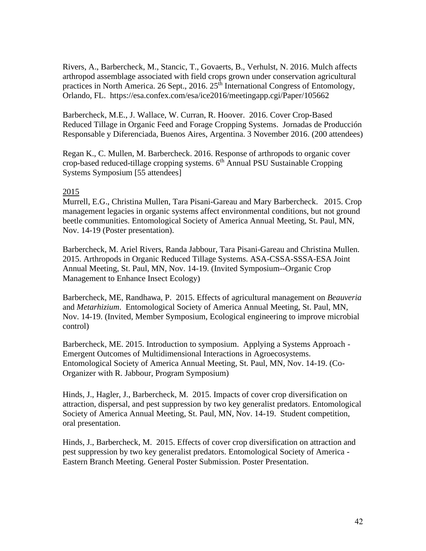Rivers, A., Barbercheck, M., Stancic, T., Govaerts, B., Verhulst, N. 2016. Mulch affects arthropod assemblage associated with field crops grown under conservation agricultural practices in North America. 26 Sept., 2016. 25<sup>th</sup> International Congress of Entomology, Orlando, FL. https://esa.confex.com/esa/ice2016/meetingapp.cgi/Paper/105662

Barbercheck, M.E., J. Wallace, W. Curran, R. Hoover. 2016. Cover Crop-Based Reduced Tillage in Organic Feed and Forage Cropping Systems. Jornadas de Producción Responsable y Diferenciada, Buenos Aires, Argentina. 3 November 2016. (200 attendees)

Regan K., C. Mullen, M. Barbercheck. 2016. Response of arthropods to organic cover crop-based reduced-tillage cropping systems,  $6<sup>th</sup>$  Annual PSU Sustainable Cropping Systems Symposium [55 attendees]

## 2015

Murrell, E.G., Christina Mullen, Tara Pisani-Gareau and Mary Barbercheck. 2015. Crop management legacies in organic systems affect environmental conditions, but not ground beetle communities. Entomological Society of America Annual Meeting, St. Paul, MN, Nov. 14-19 (Poster presentation).

Barbercheck, M. Ariel Rivers, Randa Jabbour, Tara Pisani-Gareau and Christina Mullen. 2015. Arthropods in Organic Reduced Tillage Systems. ASA-CSSA-SSSA-ESA Joint Annual Meeting, St. Paul, MN, Nov. 14-19. (Invited Symposium--Organic Crop Management to Enhance Insect Ecology)

Barbercheck, ME, Randhawa, P. 2015. Effects of agricultural management on *Beauveria* and *Metarhizium*. Entomological Society of America Annual Meeting, St. Paul, MN, Nov. 14-19. (Invited, Member Symposium, Ecological engineering to improve microbial control)

Barbercheck, ME. 2015. Introduction to symposium. Applying a Systems Approach - Emergent Outcomes of Multidimensional Interactions in Agroecosystems. Entomological Society of America Annual Meeting, St. Paul, MN, Nov. 14-19. (Co-Organizer with R. Jabbour, Program Symposium)

Hinds, J., Hagler, J., Barbercheck, M.2015. Impacts of cover crop diversification on attraction, dispersal, and pest suppression by two key generalist predators. Entomological Society of America Annual Meeting, St. Paul, MN, Nov. 14-19. Student competition, oral presentation.

Hinds, J., Barbercheck, M.2015. Effects of cover crop diversification on attraction and pest suppression by two key generalist predators. Entomological Society of America - Eastern Branch Meeting. General Poster Submission. Poster Presentation.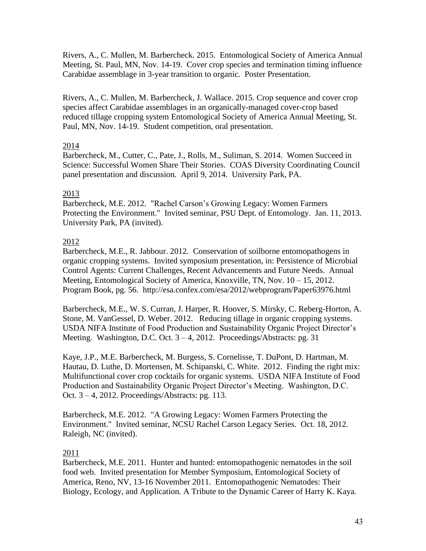Rivers, A., C. Mullen, M. Barbercheck. 2015. Entomological Society of America Annual Meeting, St. Paul, MN, Nov. 14-19. Cover crop species and termination timing influence Carabidae assemblage in 3-year transition to organic. Poster Presentation.

Rivers, A., C. Mullen, M. Barbercheck, J. Wallace. 2015. Crop sequence and cover crop species affect Carabidae assemblages in an organically-managed cover-crop based reduced tillage cropping system Entomological Society of America Annual Meeting, St. Paul, MN, Nov. 14-19. Student competition, oral presentation.

# 2014

Barbercheck, M., Cutter, C., Pate, J., Rolls, M., Suliman, S. 2014. Women Succeed in Science: Successful Women Share Their Stories. COAS Diversity Coordinating Council panel presentation and discussion. April 9, 2014. University Park, PA.

# 2013

Barbercheck, M.E. 2012. "Rachel Carson's Growing Legacy: Women Farmers Protecting the Environment." Invited seminar, PSU Dept. of Entomology. Jan. 11, 2013. University Park, PA (invited).

# 2012

Barbercheck, M.E., R. Jabbour. 2012. Conservation of soilborne entomopathogens in organic cropping systems. Invited symposium presentation, in: Persistence of Microbial Control Agents: Current Challenges, Recent Advancements and Future Needs. Annual Meeting, Entomological Society of America, Knoxville, TN, Nov. 10 – 15, 2012. Program Book, pg. 56. http://esa.confex.com/esa/2012/webprogram/Paper63976.html

Barbercheck, M.E., W. S. Curran, J. Harper, R. Hoover, S. Mirsky, C. Reberg-Horton, A. Stone, M. VanGessel, D. Weber. 2012. Reducing tillage in organic cropping systems. USDA NIFA Institute of Food Production and Sustainability Organic Project Director's Meeting. Washington, D.C. Oct. 3 – 4, 2012. Proceedings/Abstracts: pg. 31

Kaye, J.P., M.E. Barbercheck, M. Burgess, S. Cornelisse, T. DuPont, D. Hartman, M. Hautau, D. Luthe, D. Mortensen, M. Schipanski, C. White. 2012. Finding the right mix: Multifunctional cover crop cocktails for organic systems. USDA NIFA Institute of Food Production and Sustainability Organic Project Director's Meeting. Washington, D.C. Oct. 3 – 4, 2012. Proceedings/Abstracts: pg. 113.

Barbercheck, M.E. 2012. "A Growing Legacy: Women Farmers Protecting the Environment." Invited seminar, NCSU Rachel Carson Legacy Series. Oct. 18, 2012. Raleigh, NC (invited).

# 2011

Barbercheck, M.E. 2011. Hunter and hunted: entomopathogenic nematodes in the soil food web. Invited presentation for Member Symposium, Entomological Society of America, Reno, NV, 13-16 November 2011. Entomopathogenic Nematodes: Their Biology, Ecology, and Application. A Tribute to the Dynamic Career of Harry K. Kaya.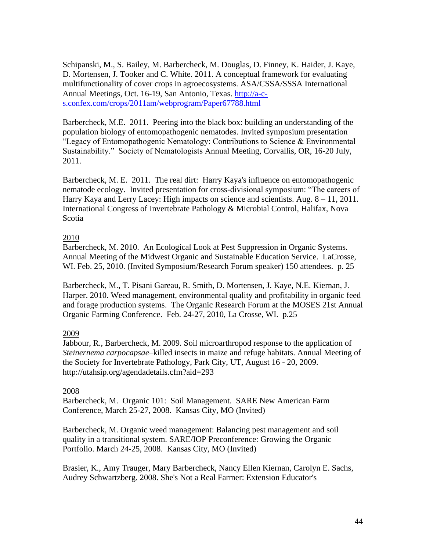Schipanski, M., S. Bailey, M. Barbercheck, M. Douglas, D. Finney, K. Haider, J. Kaye, D. Mortensen, J. Tooker and C. White. 2011. A conceptual framework for evaluating multifunctionality of cover crops in agroecosystems. ASA/CSSA/SSSA International Annual Meetings, Oct. 16-19, San Antonio, Texas. [http://a-c](http://a-c-s.confex.com/crops/2011am/webprogram/Paper67788.html)[s.confex.com/crops/2011am/webprogram/Paper67788.html](http://a-c-s.confex.com/crops/2011am/webprogram/Paper67788.html)

Barbercheck, M.E. 2011. Peering into the black box: building an understanding of the population biology of entomopathogenic nematodes. Invited symposium presentation "Legacy of Entomopathogenic Nematology: Contributions to Science & Environmental Sustainability." Society of Nematologists Annual Meeting, Corvallis, OR, 16-20 July, 2011.

Barbercheck, M. E. 2011. The real dirt: Harry Kaya's influence on entomopathogenic nematode ecology. Invited presentation for cross-divisional symposium: "The careers of Harry Kaya and Lerry Lacey: High impacts on science and scientists. Aug.  $8 - 11$ , 2011. International Congress of Invertebrate Pathology & Microbial Control, Halifax, Nova Scotia

## 2010

Barbercheck, M. 2010. An Ecological Look at Pest Suppression in Organic Systems. Annual Meeting of the Midwest Organic and Sustainable Education Service. LaCrosse, WI. Feb. 25, 2010. (Invited Symposium/Research Forum speaker) 150 attendees. p. 25

Barbercheck, M., T. Pisani Gareau, R. Smith, D. Mortensen, J. Kaye, N.E. Kiernan, J. Harper. 2010. Weed management, environmental quality and profitability in organic feed and forage production systems. The Organic Research Forum at the MOSES 21st Annual Organic Farming Conference. Feb. 24-27, 2010, La Crosse, WI. p.25

# 2009

Jabbour, R., Barbercheck, M. 2009. Soil microarthropod response to the application of *Steinernema carpocapsae*–killed insects in maize and refuge habitats. Annual Meeting of the Society for Invertebrate Pathology, Park City, UT, August 16 - 20, 2009. http://utahsip.org/agendadetails.cfm?aid=293

# 2008

Barbercheck, M. Organic 101: Soil Management. SARE New American Farm Conference, March 25-27, 2008. Kansas City, MO (Invited)

Barbercheck, M. Organic weed management: Balancing pest management and soil quality in a transitional system. SARE/IOP Preconference: Growing the Organic Portfolio. March 24-25, 2008. Kansas City, MO (Invited)

Brasier, K., Amy Trauger, Mary Barbercheck, Nancy Ellen Kiernan, Carolyn E. Sachs, Audrey Schwartzberg. 2008. She's Not a Real Farmer: Extension Educator's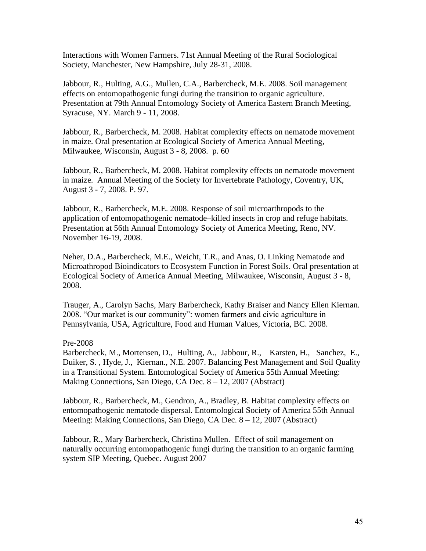Interactions with Women Farmers. 71st Annual Meeting of the Rural Sociological Society, Manchester, New Hampshire, July 28-31, 2008.

Jabbour, R., Hulting, A.G., Mullen, C.A., Barbercheck, M.E. 2008. Soil management effects on entomopathogenic fungi during the transition to organic agriculture. Presentation at 79th Annual Entomology Society of America Eastern Branch Meeting, Syracuse, NY. March 9 - 11, 2008.

Jabbour, R., Barbercheck, M. 2008. Habitat complexity effects on nematode movement in maize. Oral presentation at Ecological Society of America Annual Meeting, Milwaukee, Wisconsin, August 3 - 8, 2008. p. 60

Jabbour, R., Barbercheck, M. 2008. Habitat complexity effects on nematode movement in maize. Annual Meeting of the Society for Invertebrate Pathology, Coventry, UK, August 3 - 7, 2008. P. 97.

Jabbour, R., Barbercheck, M.E. 2008. Response of soil microarthropods to the application of entomopathogenic nematode–killed insects in crop and refuge habitats. Presentation at 56th Annual Entomology Society of America Meeting, Reno, NV. November 16-19, 2008.

Neher, D.A., Barbercheck, M.E., Weicht, T.R., and Anas, O. Linking Nematode and Microathropod Bioindicators to Ecosystem Function in Forest Soils. Oral presentation at Ecological Society of America Annual Meeting, Milwaukee, Wisconsin, August 3 - 8, 2008.

Trauger, A., Carolyn Sachs, Mary Barbercheck, Kathy Braiser and Nancy Ellen Kiernan. 2008. "Our market is our community": women farmers and civic agriculture in Pennsylvania, USA, Agriculture, Food and Human Values, Victoria, BC. 2008.

### Pre-2008

Barbercheck, M., Mortensen, D., Hulting, A., Jabbour, R., Karsten, H., Sanchez, E., Duiker, S. , Hyde, J., Kiernan., N.E. 2007. Balancing Pest Management and Soil Quality in a Transitional System. Entomological Society of America 55th Annual Meeting: Making Connections, San Diego, CA Dec. 8 – 12, 2007 (Abstract)

Jabbour, R., Barbercheck, M., Gendron, A., Bradley, B. Habitat complexity effects on entomopathogenic nematode dispersal. Entomological Society of America 55th Annual Meeting: Making Connections, San Diego, CA Dec. 8 – 12, 2007 (Abstract)

Jabbour, R., Mary Barbercheck, Christina Mullen. Effect of soil management on naturally occurring entomopathogenic fungi during the transition to an organic farming system SIP Meeting, Quebec. August 2007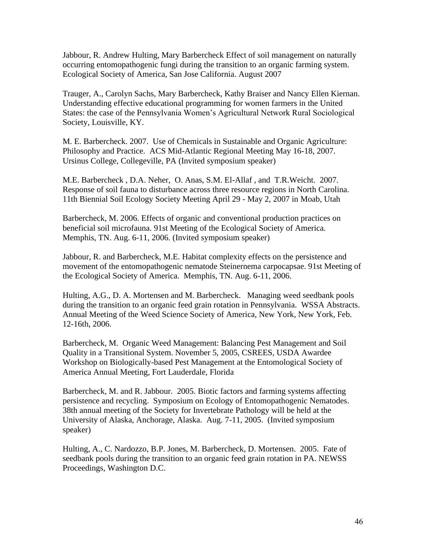Jabbour, R. Andrew Hulting, Mary Barbercheck Effect of soil management on naturally occurring entomopathogenic fungi during the transition to an organic farming system. Ecological Society of America, San Jose California. August 2007

Trauger, A., Carolyn Sachs, Mary Barbercheck, Kathy Braiser and Nancy Ellen Kiernan. Understanding effective educational programming for women farmers in the United States: the case of the Pennsylvania Women's Agricultural Network Rural Sociological Society, Louisville, KY.

M. E. Barbercheck. 2007. Use of Chemicals in Sustainable and Organic Agriculture: Philosophy and Practice. ACS Mid-Atlantic Regional Meeting May 16-18, 2007. Ursinus College, Collegeville, PA (Invited symposium speaker)

M.E. Barbercheck , D.A. Neher, O. Anas, S.M. El-Allaf , and T.R.Weicht. 2007. Response of soil fauna to disturbance across three resource regions in North Carolina. 11th Biennial Soil Ecology Society Meeting April 29 - May 2, 2007 in Moab, Utah

Barbercheck, M. 2006. Effects of organic and conventional production practices on beneficial soil microfauna. 91st Meeting of the Ecological Society of America. Memphis, TN. Aug. 6-11, 2006. (Invited symposium speaker)

Jabbour, R. and Barbercheck, M.E. Habitat complexity effects on the persistence and movement of the entomopathogenic nematode Steinernema carpocapsae. 91st Meeting of the Ecological Society of America. Memphis, TN. Aug. 6-11, 2006.

Hulting, A.G., D. A. Mortensen and M. Barbercheck. Managing weed seedbank pools during the transition to an organic feed grain rotation in Pennsylvania. WSSA Abstracts. Annual Meeting of the Weed Science Society of America, New York, New York, Feb. 12-16th, 2006.

Barbercheck, M. Organic Weed Management: Balancing Pest Management and Soil Quality in a Transitional System. November 5, 2005, CSREES, USDA Awardee Workshop on Biologically-based Pest Management at the Entomological Society of America Annual Meeting, Fort Lauderdale, Florida

Barbercheck, M. and R. Jabbour. 2005. Biotic factors and farming systems affecting persistence and recycling. Symposium on Ecology of Entomopathogenic Nematodes. 38th annual meeting of the Society for Invertebrate Pathology will be held at the University of Alaska, Anchorage, Alaska. Aug. 7-11, 2005. (Invited symposium speaker)

Hulting, A., C. Nardozzo, B.P. Jones, M. Barbercheck, D. Mortensen. 2005. Fate of seedbank pools during the transition to an organic feed grain rotation in PA. NEWSS Proceedings, Washington D.C.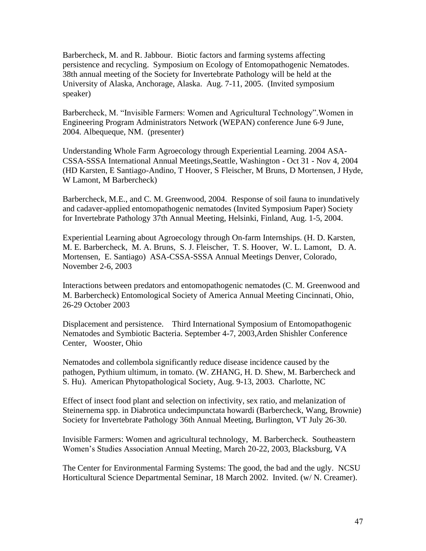Barbercheck, M. and R. Jabbour. Biotic factors and farming systems affecting persistence and recycling. Symposium on Ecology of Entomopathogenic Nematodes. 38th annual meeting of the Society for Invertebrate Pathology will be held at the University of Alaska, Anchorage, Alaska. Aug. 7-11, 2005. (Invited symposium speaker)

Barbercheck, M. "Invisible Farmers: Women and Agricultural Technology".Women in Engineering Program Administrators Network (WEPAN) conference June 6-9 June, 2004. Albequeque, NM. (presenter)

Understanding Whole Farm Agroecology through Experiential Learning. 2004 ASA-CSSA-SSSA International Annual Meetings,Seattle, Washington - Oct 31 - Nov 4, 2004 (HD Karsten, E Santiago-Andino, T Hoover, S Fleischer, M Bruns, D Mortensen, J Hyde, W Lamont, M Barbercheck)

Barbercheck, M.E., and C. M. Greenwood, 2004. Response of soil fauna to inundatively and cadaver-applied entomopathogenic nematodes (Invited Symposium Paper) Society for Invertebrate Pathology 37th Annual Meeting, Helsinki, Finland, Aug. 1-5, 2004.

Experiential Learning about Agroecology through On-farm Internships. (H. D. Karsten, M. E. Barbercheck, M. A. Bruns, S. J. Fleischer, T. S. Hoover, W. L. Lamont, D. A. Mortensen, E. Santiago) ASA-CSSA-SSSA Annual Meetings Denver, Colorado, November 2-6, 2003

Interactions between predators and entomopathogenic nematodes (C. M. Greenwood and M. Barbercheck) Entomological Society of America Annual Meeting Cincinnati, Ohio, 26-29 October 2003

Displacement and persistence. Third International Symposium of Entomopathogenic Nematodes and Symbiotic Bacteria. September 4-7, 2003,Arden Shishler Conference Center, Wooster, Ohio

Nematodes and collembola significantly reduce disease incidence caused by the pathogen, Pythium ultimum, in tomato. (W. ZHANG, H. D. Shew, M. Barbercheck and S. Hu). American Phytopathological Society, Aug. 9-13, 2003. Charlotte, NC

Effect of insect food plant and selection on infectivity, sex ratio, and melanization of Steinernema spp. in Diabrotica undecimpunctata howardi (Barbercheck, Wang, Brownie) Society for Invertebrate Pathology 36th Annual Meeting, Burlington, VT July 26-30.

Invisible Farmers: Women and agricultural technology, M. Barbercheck. Southeastern Women's Studies Association Annual Meeting, March 20-22, 2003, Blacksburg, VA

The Center for Environmental Farming Systems: The good, the bad and the ugly. NCSU Horticultural Science Departmental Seminar, 18 March 2002. Invited. (w/ N. Creamer).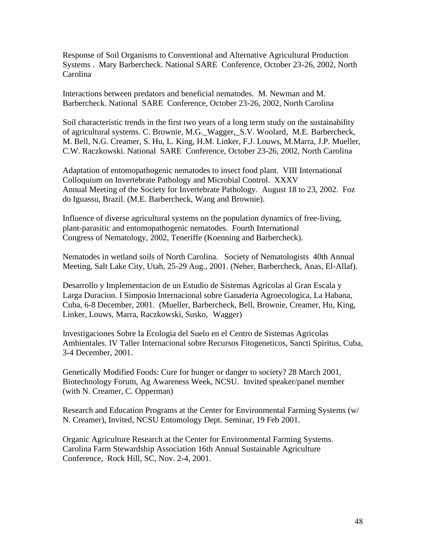Response of Soil Organisms to Conventional and Alternative Agricultural Production Systems . Mary Barbercheck. National SARE Conference, October 23-26, 2002, North Carolina

Interactions between predators and beneficial nematodes. M. Newman and M. Barbercheck. National SARE Conference, October 23-26, 2002, North Carolina

Soil characteristic trends in the first two years of a long term study on the sustainability of agricultural systems. C. Brownie, M.G.\_Wagger,\_S.V. Woolard, M.E. Barbercheck, M. Bell, N.G. Creamer, S. Hu, L. King, H.M. Linker, F.J. Louws, M.Marra, J.P. Mueller, C.W. Raczkowski. National SARE Conference, October 23-26, 2002, North Carolina

Adaptation of entomopathogenic nematodes to insect food plant. VIII International Colloquium on Invertebrate Pathology and Microbial Control. XXXV Annual Meeting of the Society for Invertebrate Pathology. August 18 to 23, 2002. Foz do Iguassu, Brazil. (M.E. Barbercheck, Wang and Brownie).

Influence of diverse agricultural systems on the population dynamics of free-living, plant-parasitic and entomopathogenic nematodes. Fourth International Congress of Nematology, 2002, Teneriffe (Koenning and Barbercheck).

Nematodes in wetland soils of North Carolina. Society of Nematologists 40th Annual Meeting, Salt Lake City, Utah, 25-29 Aug., 2001. (Neher, Barbercheck, Anas, El-Allaf).

Desarrollo y Implementacion de un Estudio de Sistemas Agricolas al Gran Escala y Larga Duracion. I Simposio Internacional sobre Ganaderia Agroecologica, La Habana, Cuba, 6-8 December, 2001. (Mueller, Barbercheck, Bell, Brownie, Creamer, Hu, King, Linker, Louws, Marra, Raczkowski, Susko, Wagger)

Investigaciones Sobre la Ecologia del Suelo en el Centro de Sistemas Agricolas Ambientales. IV Taller Internacional sobre Recursos Fitogeneticos, Sancti Spiritus, Cuba, 3-4 December, 2001.

Genetically Modified Foods: Cure for hunger or danger to society? 28 March 2001, Biotechnology Forum, Ag Awareness Week, NCSU. Invited speaker/panel member (with N. Creamer, C. Opperman)

Research and Education Programs at the Center for Environmental Farming Systems (w/ N. Creamer), Invited, NCSU Entomology Dept. Seminar, 19 Feb 2001.

Organic Agriculture Research at the Center for Environmental Farming Systems. Carolina Farm Stewardship Association 16th Annual Sustainable Agriculture Conference, Rock Hill, SC, Nov. 2-4, 2001.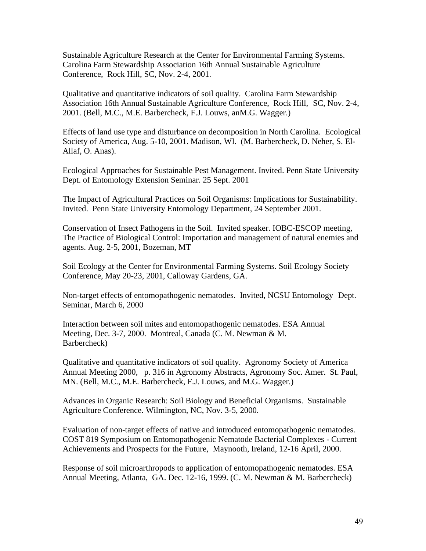Sustainable Agriculture Research at the Center for Environmental Farming Systems. Carolina Farm Stewardship Association 16th Annual Sustainable Agriculture Conference, Rock Hill, SC, Nov. 2-4, 2001.

Qualitative and quantitative indicators of soil quality. Carolina Farm Stewardship Association 16th Annual Sustainable Agriculture Conference, Rock Hill, SC, Nov. 2-4, 2001. (Bell, M.C., M.E. Barbercheck, F.J. Louws, anM.G. Wagger.)

Effects of land use type and disturbance on decomposition in North Carolina. Ecological Society of America, Aug. 5-10, 2001. Madison, WI. (M. Barbercheck, D. Neher, S. El-Allaf, O. Anas).

Ecological Approaches for Sustainable Pest Management. Invited. Penn State University Dept. of Entomology Extension Seminar. 25 Sept. 2001

The Impact of Agricultural Practices on Soil Organisms: Implications for Sustainability. Invited. Penn State University Entomology Department, 24 September 2001.

Conservation of Insect Pathogens in the Soil. Invited speaker. IOBC-ESCOP meeting, The Practice of Biological Control: Importation and management of natural enemies and agents. Aug. 2-5, 2001, Bozeman, MT

Soil Ecology at the Center for Environmental Farming Systems. Soil Ecology Society Conference, May 20-23, 2001, Calloway Gardens, GA.

Non-target effects of entomopathogenic nematodes. Invited, NCSU Entomology Dept. Seminar, March 6, 2000

Interaction between soil mites and entomopathogenic nematodes. ESA Annual Meeting, Dec. 3-7, 2000. Montreal, Canada (C. M. Newman & M. Barbercheck)

Qualitative and quantitative indicators of soil quality. Agronomy Society of America Annual Meeting 2000, p. 316 in Agronomy Abstracts, Agronomy Soc. Amer. St. Paul, MN. (Bell, M.C., M.E. Barbercheck, F.J. Louws, and M.G. Wagger.)

Advances in Organic Research: Soil Biology and Beneficial Organisms. Sustainable Agriculture Conference. Wilmington, NC, Nov. 3-5, 2000.

Evaluation of non-target effects of native and introduced entomopathogenic nematodes. COST 819 Symposium on Entomopathogenic Nematode Bacterial Complexes - Current Achievements and Prospects for the Future, Maynooth, Ireland, 12-16 April, 2000.

Response of soil microarthropods to application of entomopathogenic nematodes. ESA Annual Meeting, Atlanta, GA. Dec. 12-16, 1999. (C. M. Newman & M. Barbercheck)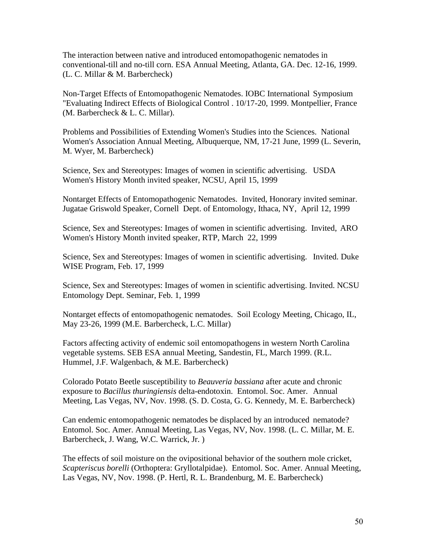The interaction between native and introduced entomopathogenic nematodes in conventional-till and no-till corn. ESA Annual Meeting, Atlanta, GA. Dec. 12-16, 1999. (L. C. Millar & M. Barbercheck)

Non-Target Effects of Entomopathogenic Nematodes. IOBC International Symposium "Evaluating Indirect Effects of Biological Control . 10/17-20, 1999. Montpellier, France (M. Barbercheck & L. C. Millar).

Problems and Possibilities of Extending Women's Studies into the Sciences. National Women's Association Annual Meeting, Albuquerque, NM, 17-21 June, 1999 (L. Severin, M. Wyer, M. Barbercheck)

Science, Sex and Stereotypes: Images of women in scientific advertising. USDA Women's History Month invited speaker, NCSU, April 15, 1999

Nontarget Effects of Entomopathogenic Nematodes. Invited, Honorary invited seminar. Jugatae Griswold Speaker, Cornell Dept. of Entomology, Ithaca, NY, April 12, 1999

Science, Sex and Stereotypes: Images of women in scientific advertising. Invited, ARO Women's History Month invited speaker, RTP, March 22, 1999

Science, Sex and Stereotypes: Images of women in scientific advertising. Invited. Duke WISE Program, Feb. 17, 1999

Science, Sex and Stereotypes: Images of women in scientific advertising. Invited. NCSU Entomology Dept. Seminar, Feb. 1, 1999

Nontarget effects of entomopathogenic nematodes. Soil Ecology Meeting, Chicago, IL, May 23-26, 1999 (M.E. Barbercheck, L.C. Millar)

Factors affecting activity of endemic soil entomopathogens in western North Carolina vegetable systems. SEB ESA annual Meeting, Sandestin, FL, March 1999. (R.L. Hummel, J.F. Walgenbach, & M.E. Barbercheck)

Colorado Potato Beetle susceptibility to *Beauveria bassiana* after acute and chronic exposure to *Bacillus thuringiensis* delta-endotoxin. Entomol. Soc. Amer. Annual Meeting, Las Vegas, NV, Nov. 1998. (S. D. Costa, G. G. Kennedy, M. E. Barbercheck)

Can endemic entomopathogenic nematodes be displaced by an introduced nematode? Entomol. Soc. Amer. Annual Meeting, Las Vegas, NV, Nov. 1998. (L. C. Millar, M. E. Barbercheck, J. Wang, W.C. Warrick, Jr. )

The effects of soil moisture on the ovipositional behavior of the southern mole cricket, *Scapteriscus borelli* (Orthoptera: Gryllotalpidae). Entomol. Soc. Amer. Annual Meeting, Las Vegas, NV, Nov. 1998. (P. Hertl, R. L. Brandenburg, M. E. Barbercheck)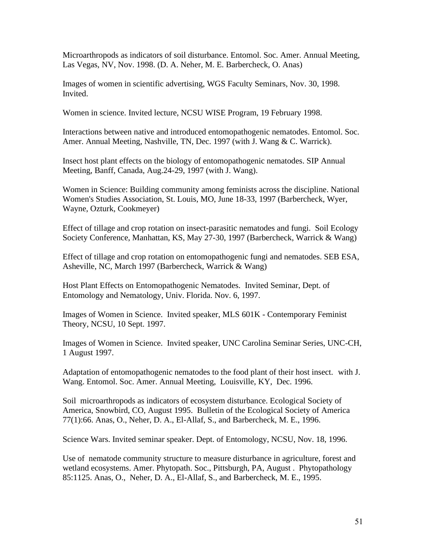Microarthropods as indicators of soil disturbance. Entomol. Soc. Amer. Annual Meeting, Las Vegas, NV, Nov. 1998. (D. A. Neher, M. E. Barbercheck, O. Anas)

Images of women in scientific advertising, WGS Faculty Seminars, Nov. 30, 1998. Invited.

Women in science. Invited lecture, NCSU WISE Program, 19 February 1998.

Interactions between native and introduced entomopathogenic nematodes. Entomol. Soc. Amer. Annual Meeting, Nashville, TN, Dec. 1997 (with J. Wang & C. Warrick).

Insect host plant effects on the biology of entomopathogenic nematodes. SIP Annual Meeting, Banff, Canada, Aug.24-29, 1997 (with J. Wang).

Women in Science: Building community among feminists across the discipline. National Women's Studies Association, St. Louis, MO, June 18-33, 1997 (Barbercheck, Wyer, Wayne, Ozturk, Cookmeyer)

Effect of tillage and crop rotation on insect-parasitic nematodes and fungi. Soil Ecology Society Conference, Manhattan, KS, May 27-30, 1997 (Barbercheck, Warrick & Wang)

Effect of tillage and crop rotation on entomopathogenic fungi and nematodes. SEB ESA, Asheville, NC, March 1997 (Barbercheck, Warrick & Wang)

Host Plant Effects on Entomopathogenic Nematodes. Invited Seminar, Dept. of Entomology and Nematology, Univ. Florida. Nov. 6, 1997.

Images of Women in Science. Invited speaker, MLS 601K - Contemporary Feminist Theory, NCSU, 10 Sept. 1997.

Images of Women in Science. Invited speaker, UNC Carolina Seminar Series, UNC-CH, 1 August 1997.

Adaptation of entomopathogenic nematodes to the food plant of their host insect. with J. Wang. Entomol. Soc. Amer. Annual Meeting, Louisville, KY, Dec. 1996.

Soil microarthropods as indicators of ecosystem disturbance. Ecological Society of America, Snowbird, CO, August 1995. Bulletin of the Ecological Society of America 77(1):66. Anas, O., Neher, D. A., El-Allaf, S., and Barbercheck, M. E., 1996.

Science Wars. Invited seminar speaker. Dept. of Entomology, NCSU, Nov. 18, 1996.

Use of nematode community structure to measure disturbance in agriculture, forest and wetland ecosystems. Amer. Phytopath. Soc., Pittsburgh, PA, August . Phytopathology 85:1125. Anas, O., Neher, D. A., El-Allaf, S., and Barbercheck, M. E., 1995.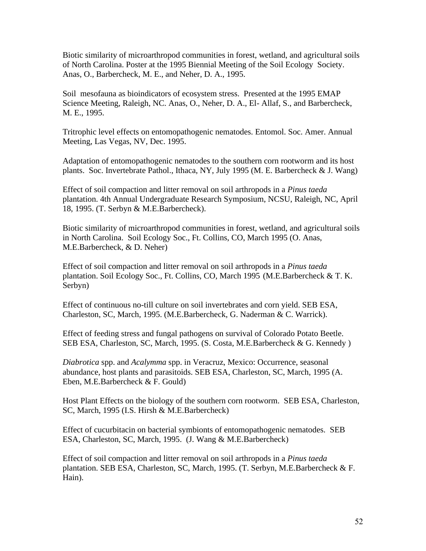Biotic similarity of microarthropod communities in forest, wetland, and agricultural soils of North Carolina. Poster at the 1995 Biennial Meeting of the Soil Ecology Society. Anas, O., Barbercheck, M. E., and Neher, D. A., 1995.

Soil mesofauna as bioindicators of ecosystem stress. Presented at the 1995 EMAP Science Meeting, Raleigh, NC. Anas, O., Neher, D. A., El- Allaf, S., and Barbercheck, M. E., 1995.

Tritrophic level effects on entomopathogenic nematodes. Entomol. Soc. Amer. Annual Meeting, Las Vegas, NV, Dec. 1995.

Adaptation of entomopathogenic nematodes to the southern corn rootworm and its host plants. Soc. Invertebrate Pathol., Ithaca, NY, July 1995 (M. E. Barbercheck & J. Wang)

Effect of soil compaction and litter removal on soil arthropods in a *Pinus taeda* plantation. 4th Annual Undergraduate Research Symposium, NCSU, Raleigh, NC, April 18, 1995. (T. Serbyn & M.E.Barbercheck).

Biotic similarity of microarthropod communities in forest, wetland, and agricultural soils in North Carolina. Soil Ecology Soc., Ft. Collins, CO, March 1995 (O. Anas, M.E.Barbercheck, & D. Neher)

Effect of soil compaction and litter removal on soil arthropods in a *Pinus taeda* plantation. Soil Ecology Soc., Ft. Collins, CO, March 1995 (M.E.Barbercheck & T. K. Serbyn)

Effect of continuous no-till culture on soil invertebrates and corn yield. SEB ESA, Charleston, SC, March, 1995. (M.E.Barbercheck, G. Naderman & C. Warrick).

Effect of feeding stress and fungal pathogens on survival of Colorado Potato Beetle. SEB ESA, Charleston, SC, March, 1995. (S. Costa, M.E.Barbercheck & G. Kennedy )

*Diabrotica* spp. and *Acalymma* spp. in Veracruz, Mexico: Occurrence, seasonal abundance, host plants and parasitoids. SEB ESA, Charleston, SC, March, 1995 (A. Eben, M.E.Barbercheck & F. Gould)

Host Plant Effects on the biology of the southern corn rootworm. SEB ESA, Charleston, SC, March, 1995 (I.S. Hirsh & M.E.Barbercheck)

Effect of cucurbitacin on bacterial symbionts of entomopathogenic nematodes. SEB ESA, Charleston, SC, March, 1995. (J. Wang & M.E.Barbercheck)

Effect of soil compaction and litter removal on soil arthropods in a *Pinus taeda* plantation. SEB ESA, Charleston, SC, March, 1995. (T. Serbyn, M.E.Barbercheck & F. Hain).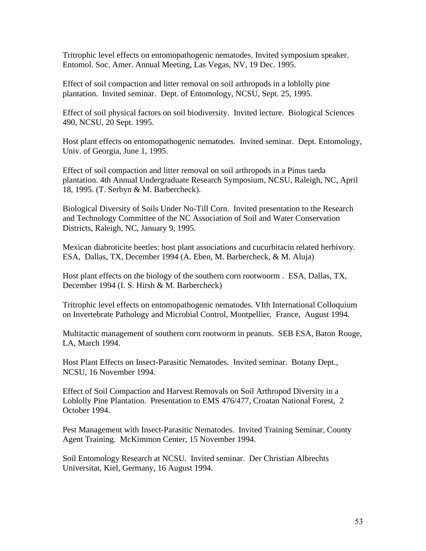Tritrophic level effects on entomopathogenic nematodes. Invited symposium speaker. Entomol. Soc. Amer. Annual Meeting, Las Vegas, NV, 19 Dec. 1995.

Effect of soil compaction and litter removal on soil arthropods in a loblolly pine plantation. Invited seminar. Dept. of Entomology, NCSU, Sept. 25, 1995.

Effect of soil physical factors on soil biodiversity. Invited lecture. Biological Sciences 490, NCSU, 20 Sept. 1995.

Host plant effects on entomopathogenic nematodes. Invited seminar. Dept. Entomology, Univ. of Georgia, June 1, 1995.

Effect of soil compaction and litter removal on soil arthropods in a Pinus taeda plantation. 4th Annual Undergraduate Research Symposium, NCSU, Raleigh, NC, April 18, 1995. (T. Serbyn & M. Barbercheck).

Biological Diversity of Soils Under No-Till Corn. Invited presentation to the Research and Technology Committee of the NC Association of Soil and Water Conservation Districts, Raleigh, NC, January 9, 1995.

Mexican diabroticite beetles: host plant associations and cucurbitacin related herbivory. ESA, Dallas, TX, December 1994 (A. Eben, M. Barbercheck, & M. Aluja)

Host plant effects on the biology of the southern corn rootwoorm . ESA, Dallas, TX, December 1994 (I. S. Hirsh & M. Barbercheck)

Tritrophic level effects on entomopathogenic nematodes. VIth International Colloquium on Invertebrate Pathology and Microbial Control, Montpellier, France, August 1994.

Multitactic management of southern corn rootworm in peanuts. SEB ESA, Baton Rouge, LA, March 1994.

Host Plant Effects on Insect-Parasitic Nematodes. Invited seminar. Botany Dept., NCSU, 16 November 1994.

Effect of Soil Compaction and Harvest Removals on Soil Arthropod Diversity in a Loblolly Pine Plantation. Presentation to EMS 476/477, Croatan National Forest, 2 October 1994.

Pest Management with Insect-Parasitic Nematodes. Invited Training Seminar, County Agent Training. McKimmon Center, 15 November 1994.

Soil Entomology Research at NCSU. Invited seminar. Der Christian Albrechts Universitat, Kiel, Germany, 16 August 1994.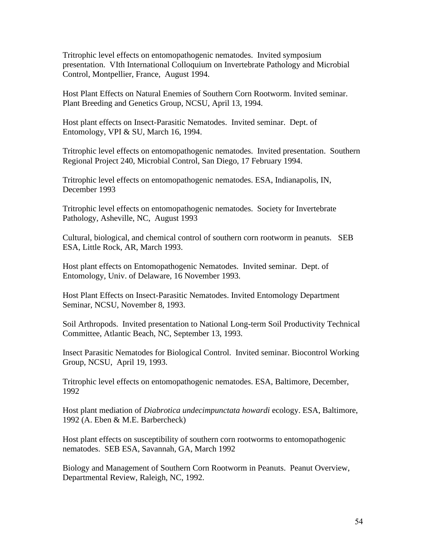Tritrophic level effects on entomopathogenic nematodes. Invited symposium presentation. VIth International Colloquium on Invertebrate Pathology and Microbial Control, Montpellier, France, August 1994.

Host Plant Effects on Natural Enemies of Southern Corn Rootworm. Invited seminar. Plant Breeding and Genetics Group, NCSU, April 13, 1994.

Host plant effects on Insect-Parasitic Nematodes. Invited seminar. Dept. of Entomology, VPI & SU, March 16, 1994.

Tritrophic level effects on entomopathogenic nematodes. Invited presentation. Southern Regional Project 240, Microbial Control, San Diego, 17 February 1994.

Tritrophic level effects on entomopathogenic nematodes. ESA, Indianapolis, IN, December 1993

Tritrophic level effects on entomopathogenic nematodes. Society for Invertebrate Pathology, Asheville, NC, August 1993

Cultural, biological, and chemical control of southern corn rootworm in peanuts. SEB ESA, Little Rock, AR, March 1993.

Host plant effects on Entomopathogenic Nematodes. Invited seminar. Dept. of Entomology, Univ. of Delaware, 16 November 1993.

Host Plant Effects on Insect-Parasitic Nematodes. Invited Entomology Department Seminar, NCSU, November 8, 1993.

Soil Arthropods. Invited presentation to National Long-term Soil Productivity Technical Committee, Atlantic Beach, NC, September 13, 1993.

Insect Parasitic Nematodes for Biological Control. Invited seminar. Biocontrol Working Group, NCSU, April 19, 1993.

Tritrophic level effects on entomopathogenic nematodes. ESA, Baltimore, December, 1992

Host plant mediation of *Diabrotica undecimpunctata howardi* ecology. ESA, Baltimore, 1992 (A. Eben & M.E. Barbercheck)

Host plant effects on susceptibility of southern corn rootworms to entomopathogenic nematodes. SEB ESA, Savannah, GA, March 1992

Biology and Management of Southern Corn Rootworm in Peanuts. Peanut Overview, Departmental Review, Raleigh, NC, 1992.